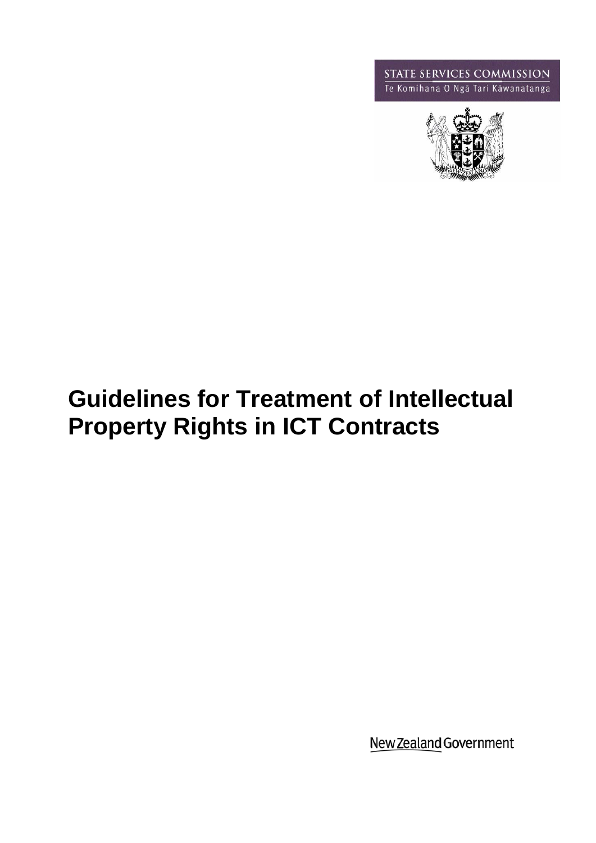**STATE SERVICES COMMISSION**<br>Te Komihana O Ngā Tari Kāwanatanga



# **Guidelines for Treatment of Intellectual Property Rights in ICT Contracts**

New Zealand Government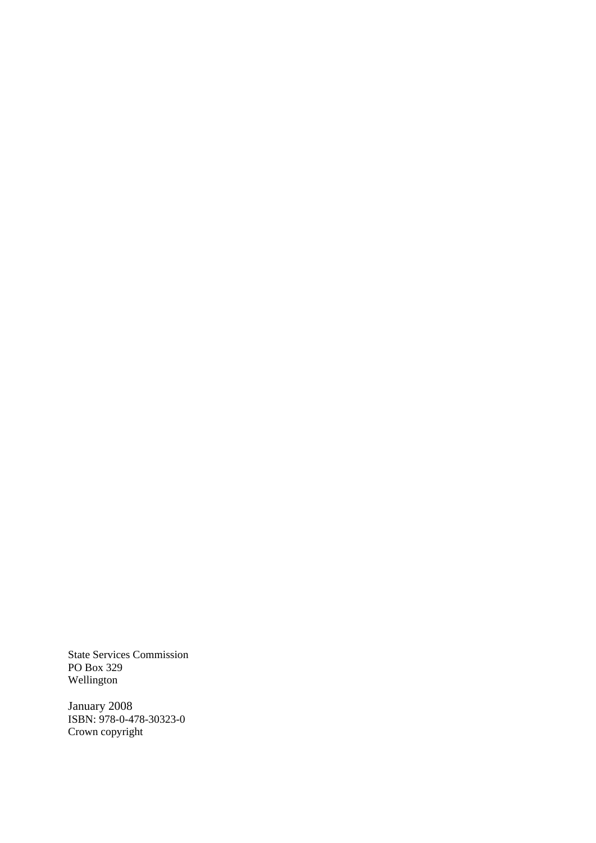State Services Commission PO Box 329 Wellington

January 2008 ISBN: 978-0-478-30323-0 Crown copyright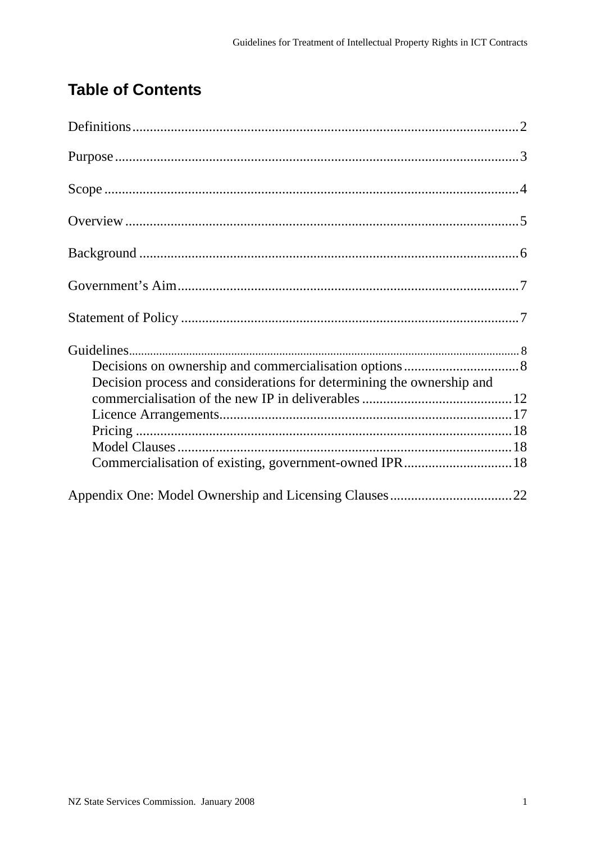## **Table of Contents**

| Decision process and considerations for determining the ownership and |  |
|-----------------------------------------------------------------------|--|
|                                                                       |  |
|                                                                       |  |
|                                                                       |  |
|                                                                       |  |
| Commercialisation of existing, government-owned IPR 18                |  |
|                                                                       |  |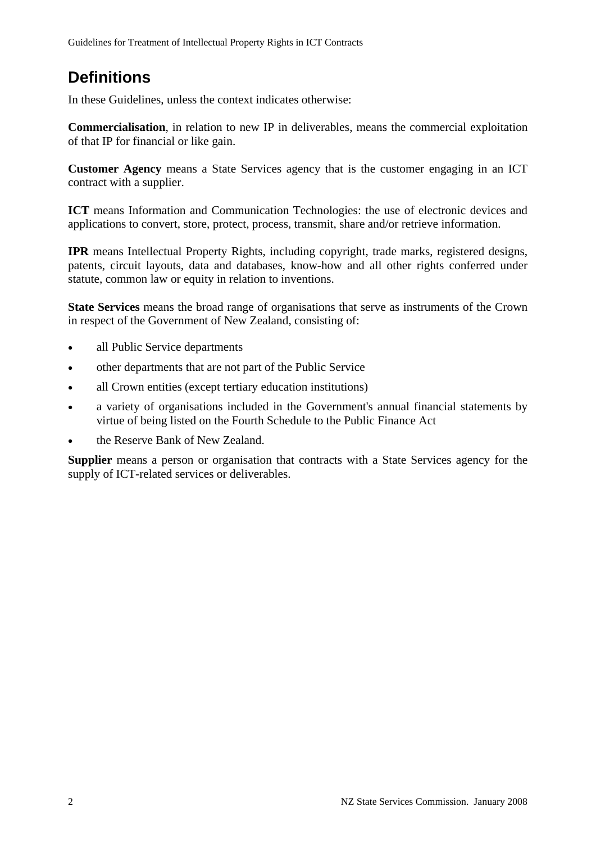## **Definitions**

In these Guidelines, unless the context indicates otherwise:

**Commercialisation**, in relation to new IP in deliverables, means the commercial exploitation of that IP for financial or like gain.

**Customer Agency** means a State Services agency that is the customer engaging in an ICT contract with a supplier.

**ICT** means Information and Communication Technologies: the use of electronic devices and applications to convert, store, protect, process, transmit, share and/or retrieve information.

**IPR** means Intellectual Property Rights, including copyright, trade marks, registered designs, patents, circuit layouts, data and databases, know-how and all other rights conferred under statute, common law or equity in relation to inventions.

**State Services** means the broad range of organisations that serve as instruments of the Crown in respect of the Government of New Zealand, consisting of:

- all Public Service departments
- other departments that are not part of the Public Service
- all Crown entities (except tertiary education institutions)
- a variety of organisations included in the Government's annual financial statements by virtue of being listed on the Fourth Schedule to the Public Finance Act
- the Reserve Bank of New Zealand.

**Supplier** means a person or organisation that contracts with a State Services agency for the supply of ICT-related services or deliverables.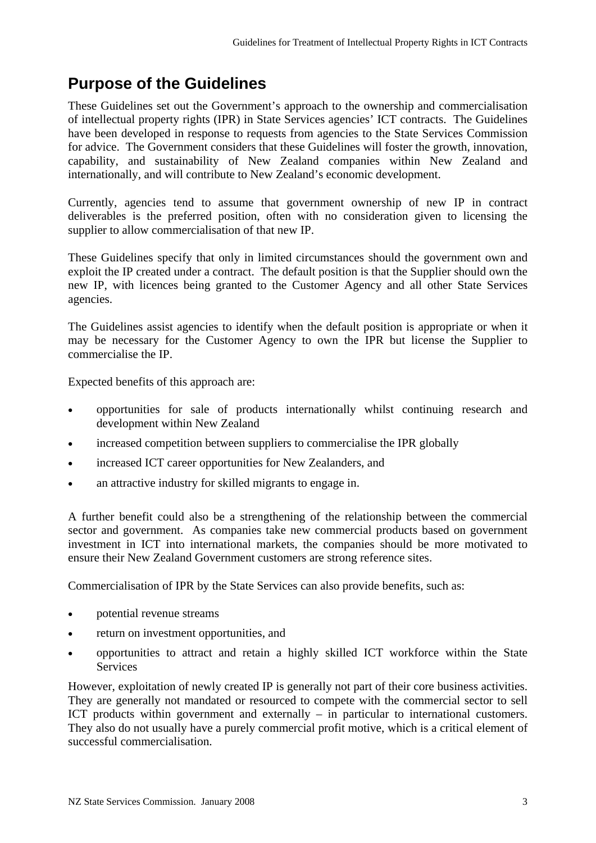## **Purpose of the Guidelines**

These Guidelines set out the Government's approach to the ownership and commercialisation of intellectual property rights (IPR) in State Services agencies' ICT contracts. The Guidelines have been developed in response to requests from agencies to the State Services Commission for advice. The Government considers that these Guidelines will foster the growth, innovation, capability, and sustainability of New Zealand companies within New Zealand and internationally, and will contribute to New Zealand's economic development.

Currently, agencies tend to assume that government ownership of new IP in contract deliverables is the preferred position, often with no consideration given to licensing the supplier to allow commercialisation of that new IP.

These Guidelines specify that only in limited circumstances should the government own and exploit the IP created under a contract. The default position is that the Supplier should own the new IP, with licences being granted to the Customer Agency and all other State Services agencies.

The Guidelines assist agencies to identify when the default position is appropriate or when it may be necessary for the Customer Agency to own the IPR but license the Supplier to commercialise the IP.

Expected benefits of this approach are:

- opportunities for sale of products internationally whilst continuing research and development within New Zealand
- increased competition between suppliers to commercialise the IPR globally
- increased ICT career opportunities for New Zealanders, and
- an attractive industry for skilled migrants to engage in.

A further benefit could also be a strengthening of the relationship between the commercial sector and government. As companies take new commercial products based on government investment in ICT into international markets, the companies should be more motivated to ensure their New Zealand Government customers are strong reference sites.

Commercialisation of IPR by the State Services can also provide benefits, such as:

- potential revenue streams
- return on investment opportunities, and
- opportunities to attract and retain a highly skilled ICT workforce within the State **Services**

However, exploitation of newly created IP is generally not part of their core business activities. They are generally not mandated or resourced to compete with the commercial sector to sell ICT products within government and externally – in particular to international customers. They also do not usually have a purely commercial profit motive, which is a critical element of successful commercialisation.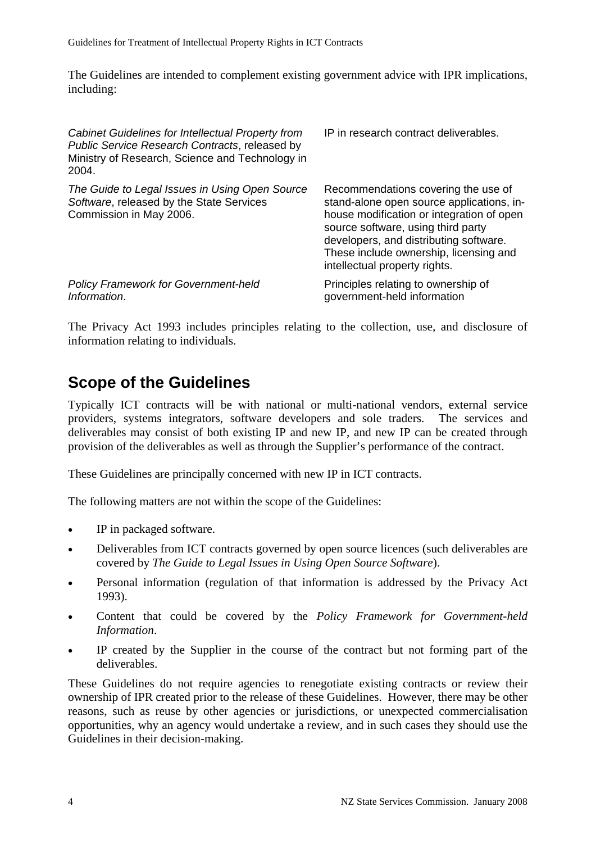Guidelines for Treatment of Intellectual Property Rights in ICT Contracts

The Guidelines are intended to complement existing government advice with IPR implications, including:

| Cabinet Guidelines for Intellectual Property from<br>Public Service Research Contracts, released by<br>Ministry of Research, Science and Technology in<br>2004. | IP in research contract deliverables.                                                                                                                                                                                                                                                    |
|-----------------------------------------------------------------------------------------------------------------------------------------------------------------|------------------------------------------------------------------------------------------------------------------------------------------------------------------------------------------------------------------------------------------------------------------------------------------|
| The Guide to Legal Issues in Using Open Source<br>Software, released by the State Services<br>Commission in May 2006.                                           | Recommendations covering the use of<br>stand-alone open source applications, in-<br>house modification or integration of open<br>source software, using third party<br>developers, and distributing software.<br>These include ownership, licensing and<br>intellectual property rights. |
| <b>Policy Framework for Government-held</b><br>Information.                                                                                                     | Principles relating to ownership of<br>government-held information                                                                                                                                                                                                                       |

The Privacy Act 1993 includes principles relating to the collection, use, and disclosure of information relating to individuals.

## **Scope of the Guidelines**

Typically ICT contracts will be with national or multi-national vendors, external service providers, systems integrators, software developers and sole traders. The services and deliverables may consist of both existing IP and new IP, and new IP can be created through provision of the deliverables as well as through the Supplier's performance of the contract.

These Guidelines are principally concerned with new IP in ICT contracts.

The following matters are not within the scope of the Guidelines:

- IP in packaged software.
- Deliverables from ICT contracts governed by open source licences (such deliverables are covered by *The Guide to Legal Issues in Using Open Source Software*).
- Personal information (regulation of that information is addressed by the Privacy Act 1993).
- Content that could be covered by the *Policy Framework for Government-held Information*.
- IP created by the Supplier in the course of the contract but not forming part of the deliverables.

These Guidelines do not require agencies to renegotiate existing contracts or review their ownership of IPR created prior to the release of these Guidelines. However, there may be other reasons, such as reuse by other agencies or jurisdictions, or unexpected commercialisation opportunities, why an agency would undertake a review, and in such cases they should use the Guidelines in their decision-making.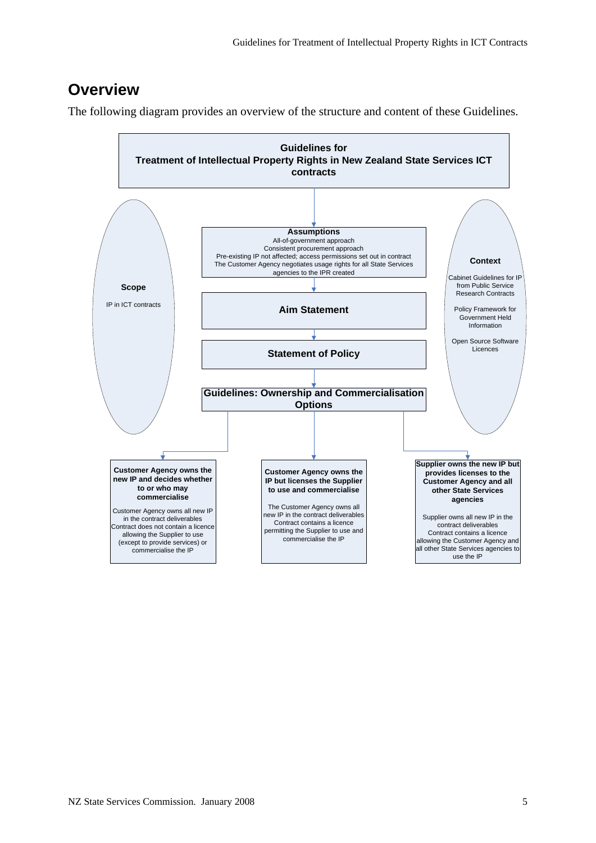## **Overview**

The following diagram provides an overview of the structure and content of these Guidelines.

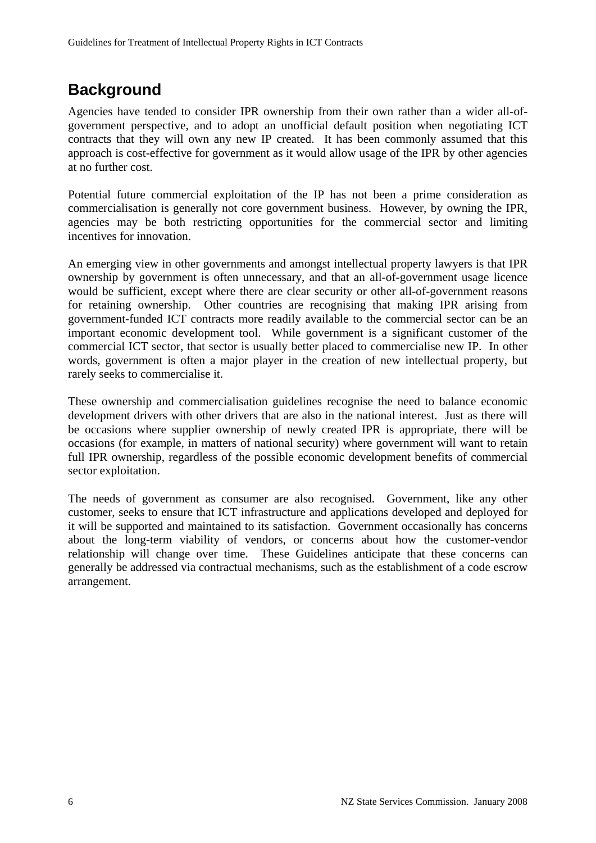## **Background**

Agencies have tended to consider IPR ownership from their own rather than a wider all-ofgovernment perspective, and to adopt an unofficial default position when negotiating ICT contracts that they will own any new IP created. It has been commonly assumed that this approach is cost-effective for government as it would allow usage of the IPR by other agencies at no further cost.

Potential future commercial exploitation of the IP has not been a prime consideration as commercialisation is generally not core government business. However, by owning the IPR, agencies may be both restricting opportunities for the commercial sector and limiting incentives for innovation.

An emerging view in other governments and amongst intellectual property lawyers is that IPR ownership by government is often unnecessary, and that an all-of-government usage licence would be sufficient, except where there are clear security or other all-of-government reasons for retaining ownership. Other countries are recognising that making IPR arising from government-funded ICT contracts more readily available to the commercial sector can be an important economic development tool. While government is a significant customer of the commercial ICT sector, that sector is usually better placed to commercialise new IP. In other words, government is often a major player in the creation of new intellectual property, but rarely seeks to commercialise it.

These ownership and commercialisation guidelines recognise the need to balance economic development drivers with other drivers that are also in the national interest. Just as there will be occasions where supplier ownership of newly created IPR is appropriate, there will be occasions (for example, in matters of national security) where government will want to retain full IPR ownership, regardless of the possible economic development benefits of commercial sector exploitation.

The needs of government as consumer are also recognised. Government, like any other customer, seeks to ensure that ICT infrastructure and applications developed and deployed for it will be supported and maintained to its satisfaction. Government occasionally has concerns about the long-term viability of vendors, or concerns about how the customer-vendor relationship will change over time. These Guidelines anticipate that these concerns can generally be addressed via contractual mechanisms, such as the establishment of a code escrow arrangement.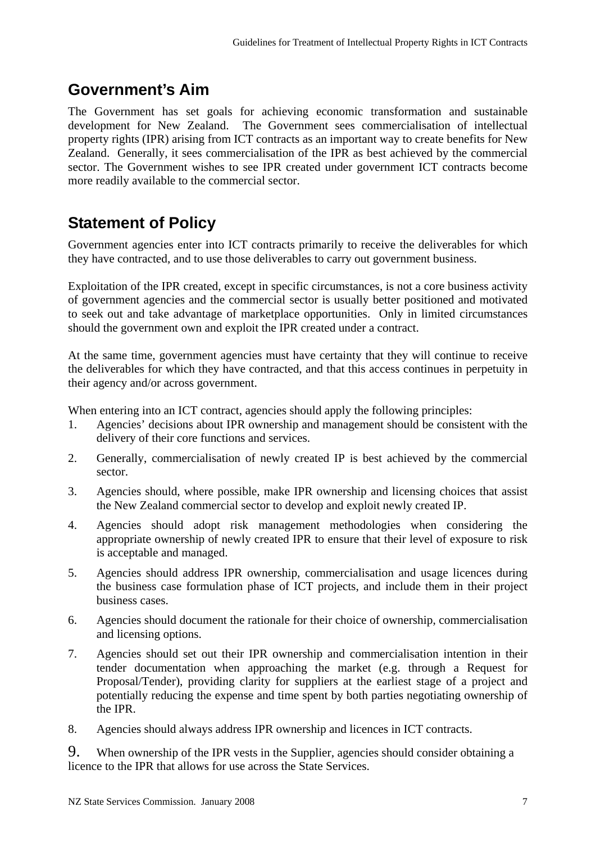## **Government's Aim**

The Government has set goals for achieving economic transformation and sustainable development for New Zealand. The Government sees commercialisation of intellectual property rights (IPR) arising from ICT contracts as an important way to create benefits for New Zealand. Generally, it sees commercialisation of the IPR as best achieved by the commercial sector. The Government wishes to see IPR created under government ICT contracts become more readily available to the commercial sector.

## **Statement of Policy**

Government agencies enter into ICT contracts primarily to receive the deliverables for which they have contracted, and to use those deliverables to carry out government business.

Exploitation of the IPR created, except in specific circumstances, is not a core business activity of government agencies and the commercial sector is usually better positioned and motivated to seek out and take advantage of marketplace opportunities. Only in limited circumstances should the government own and exploit the IPR created under a contract.

At the same time, government agencies must have certainty that they will continue to receive the deliverables for which they have contracted, and that this access continues in perpetuity in their agency and/or across government.

When entering into an ICT contract, agencies should apply the following principles:

- 1. Agencies' decisions about IPR ownership and management should be consistent with the delivery of their core functions and services.
- 2. Generally, commercialisation of newly created IP is best achieved by the commercial sector.
- 3. Agencies should, where possible, make IPR ownership and licensing choices that assist the New Zealand commercial sector to develop and exploit newly created IP.
- 4. Agencies should adopt risk management methodologies when considering the appropriate ownership of newly created IPR to ensure that their level of exposure to risk is acceptable and managed.
- 5. Agencies should address IPR ownership, commercialisation and usage licences during the business case formulation phase of ICT projects, and include them in their project business cases.
- 6. Agencies should document the rationale for their choice of ownership, commercialisation and licensing options.
- 7. Agencies should set out their IPR ownership and commercialisation intention in their tender documentation when approaching the market (e.g. through a Request for Proposal/Tender), providing clarity for suppliers at the earliest stage of a project and potentially reducing the expense and time spent by both parties negotiating ownership of the IPR.
- 8. Agencies should always address IPR ownership and licences in ICT contracts.

9. When ownership of the IPR vests in the Supplier, agencies should consider obtaining a licence to the IPR that allows for use across the State Services.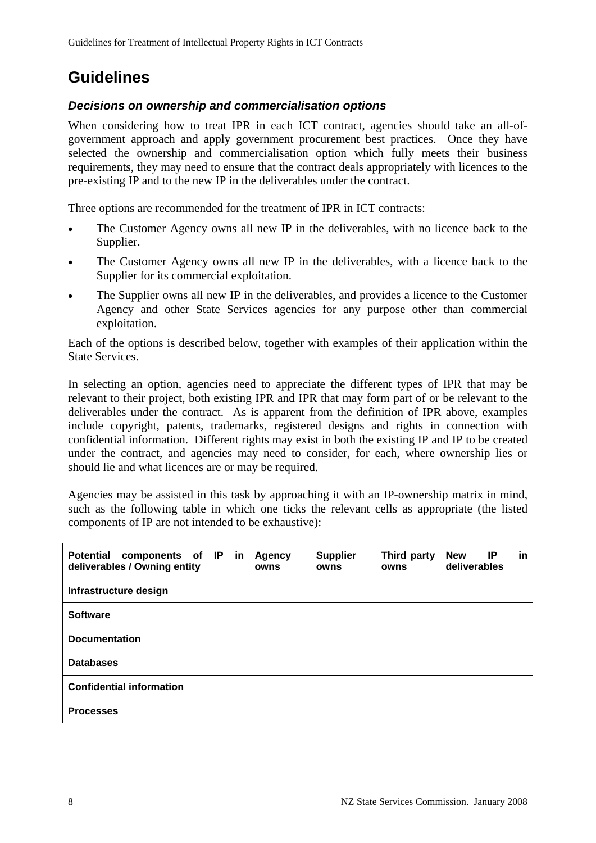## **Guidelines**

## *Decisions on ownership and commercialisation options*

When considering how to treat IPR in each ICT contract, agencies should take an all-ofgovernment approach and apply government procurement best practices. Once they have selected the ownership and commercialisation option which fully meets their business requirements, they may need to ensure that the contract deals appropriately with licences to the pre-existing IP and to the new IP in the deliverables under the contract.

Three options are recommended for the treatment of IPR in ICT contracts:

- The Customer Agency owns all new IP in the deliverables, with no licence back to the Supplier.
- The Customer Agency owns all new IP in the deliverables, with a licence back to the Supplier for its commercial exploitation.
- The Supplier owns all new IP in the deliverables, and provides a licence to the Customer Agency and other State Services agencies for any purpose other than commercial exploitation.

Each of the options is described below, together with examples of their application within the State Services.

In selecting an option, agencies need to appreciate the different types of IPR that may be relevant to their project, both existing IPR and IPR that may form part of or be relevant to the deliverables under the contract. As is apparent from the definition of IPR above, examples include copyright, patents, trademarks, registered designs and rights in connection with confidential information. Different rights may exist in both the existing IP and IP to be created under the contract, and agencies may need to consider, for each, where ownership lies or should lie and what licences are or may be required.

Agencies may be assisted in this task by approaching it with an IP-ownership matrix in mind, such as the following table in which one ticks the relevant cells as appropriate (the listed components of IP are not intended to be exhaustive):

| <b>Potential</b><br>components of IP in<br>deliverables / Owning entity | <b>Agency</b><br>owns | <b>Supplier</b><br>owns | Third party<br>owns | <b>New</b><br>IP.<br>in.<br>deliverables |
|-------------------------------------------------------------------------|-----------------------|-------------------------|---------------------|------------------------------------------|
| Infrastructure design                                                   |                       |                         |                     |                                          |
| <b>Software</b>                                                         |                       |                         |                     |                                          |
| <b>Documentation</b>                                                    |                       |                         |                     |                                          |
| <b>Databases</b>                                                        |                       |                         |                     |                                          |
| <b>Confidential information</b>                                         |                       |                         |                     |                                          |
| <b>Processes</b>                                                        |                       |                         |                     |                                          |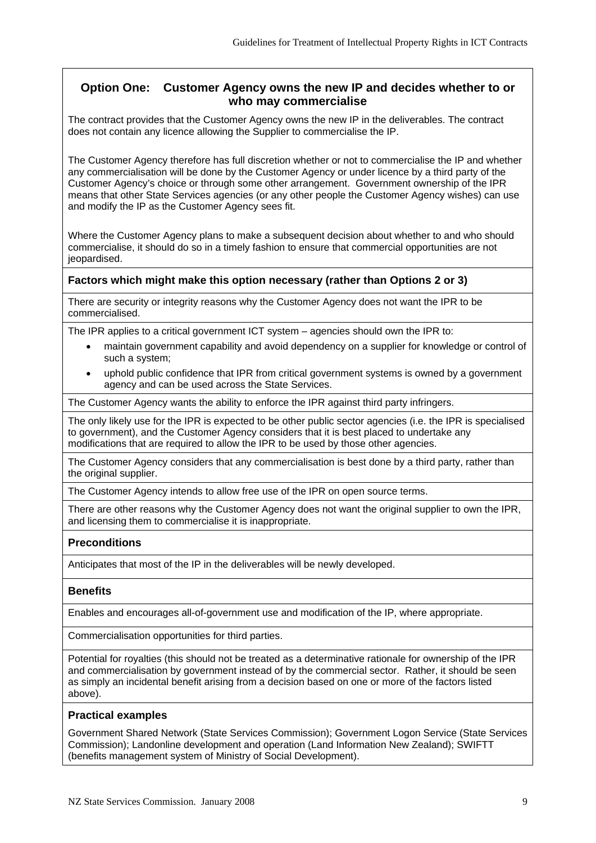## **Option One: Customer Agency owns the new IP and decides whether to or who may commercialise**

The contract provides that the Customer Agency owns the new IP in the deliverables. The contract does not contain any licence allowing the Supplier to commercialise the IP.

The Customer Agency therefore has full discretion whether or not to commercialise the IP and whether any commercialisation will be done by the Customer Agency or under licence by a third party of the Customer Agency's choice or through some other arrangement. Government ownership of the IPR means that other State Services agencies (or any other people the Customer Agency wishes) can use and modify the IP as the Customer Agency sees fit.

Where the Customer Agency plans to make a subsequent decision about whether to and who should commercialise, it should do so in a timely fashion to ensure that commercial opportunities are not jeopardised.

#### **Factors which might make this option necessary (rather than Options 2 or 3)**

There are security or integrity reasons why the Customer Agency does not want the IPR to be commercialised.

The IPR applies to a critical government ICT system – agencies should own the IPR to:

- maintain government capability and avoid dependency on a supplier for knowledge or control of such a system;
- uphold public confidence that IPR from critical government systems is owned by a government agency and can be used across the State Services.

The Customer Agency wants the ability to enforce the IPR against third party infringers.

The only likely use for the IPR is expected to be other public sector agencies (i.e. the IPR is specialised to government), and the Customer Agency considers that it is best placed to undertake any modifications that are required to allow the IPR to be used by those other agencies.

The Customer Agency considers that any commercialisation is best done by a third party, rather than the original supplier.

The Customer Agency intends to allow free use of the IPR on open source terms.

There are other reasons why the Customer Agency does not want the original supplier to own the IPR, and licensing them to commercialise it is inappropriate.

#### **Preconditions**

Anticipates that most of the IP in the deliverables will be newly developed.

#### **Benefits**

Enables and encourages all-of-government use and modification of the IP, where appropriate.

Commercialisation opportunities for third parties.

Potential for royalties (this should not be treated as a determinative rationale for ownership of the IPR and commercialisation by government instead of by the commercial sector. Rather, it should be seen as simply an incidental benefit arising from a decision based on one or more of the factors listed above).

#### **Practical examples**

Government Shared Network (State Services Commission); Government Logon Service (State Services Commission); Landonline development and operation (Land Information New Zealand); SWIFTT (benefits management system of Ministry of Social Development).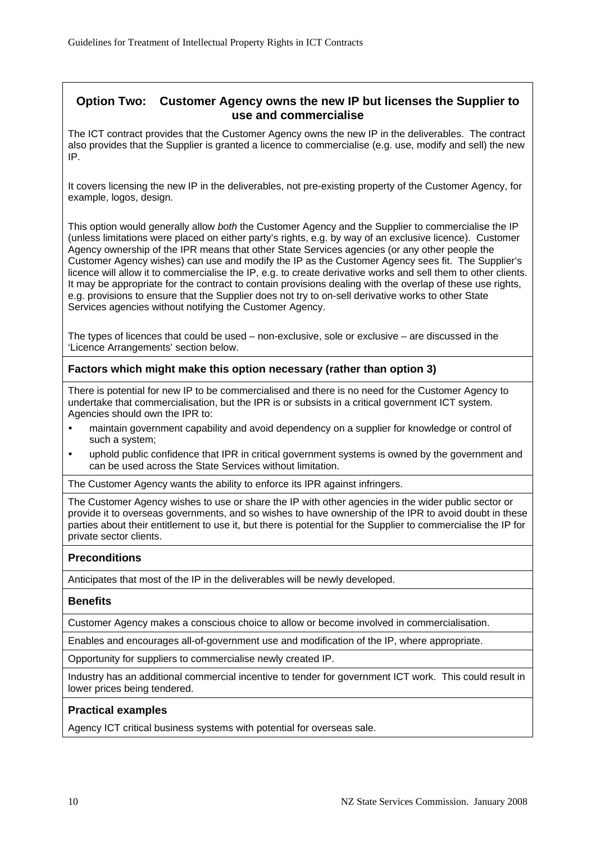## **Option Two: Customer Agency owns the new IP but licenses the Supplier to use and commercialise**

The ICT contract provides that the Customer Agency owns the new IP in the deliverables. The contract also provides that the Supplier is granted a licence to commercialise (e.g. use, modify and sell) the new IP.

It covers licensing the new IP in the deliverables, not pre-existing property of the Customer Agency, for example, logos, design.

This option would generally allow *both* the Customer Agency and the Supplier to commercialise the IP (unless limitations were placed on either party's rights, e.g. by way of an exclusive licence). Customer Agency ownership of the IPR means that other State Services agencies (or any other people the Customer Agency wishes) can use and modify the IP as the Customer Agency sees fit. The Supplier's licence will allow it to commercialise the IP, e.g. to create derivative works and sell them to other clients. It may be appropriate for the contract to contain provisions dealing with the overlap of these use rights, e.g. provisions to ensure that the Supplier does not try to on-sell derivative works to other State Services agencies without notifying the Customer Agency.

The types of licences that could be used – non-exclusive, sole or exclusive – are discussed in the 'Licence Arrangements' section below.

### **Factors which might make this option necessary (rather than option 3)**

There is potential for new IP to be commercialised and there is no need for the Customer Agency to undertake that commercialisation, but the IPR is or subsists in a critical government ICT system. Agencies should own the IPR to:

- maintain government capability and avoid dependency on a supplier for knowledge or control of such a system;
- uphold public confidence that IPR in critical government systems is owned by the government and can be used across the State Services without limitation.

The Customer Agency wants the ability to enforce its IPR against infringers.

The Customer Agency wishes to use or share the IP with other agencies in the wider public sector or provide it to overseas governments, and so wishes to have ownership of the IPR to avoid doubt in these parties about their entitlement to use it, but there is potential for the Supplier to commercialise the IP for private sector clients.

#### **Preconditions**

Anticipates that most of the IP in the deliverables will be newly developed.

#### **Benefits**

Customer Agency makes a conscious choice to allow or become involved in commercialisation.

Enables and encourages all-of-government use and modification of the IP, where appropriate.

Opportunity for suppliers to commercialise newly created IP.

Industry has an additional commercial incentive to tender for government ICT work. This could result in lower prices being tendered.

#### **Practical examples**

Agency ICT critical business systems with potential for overseas sale.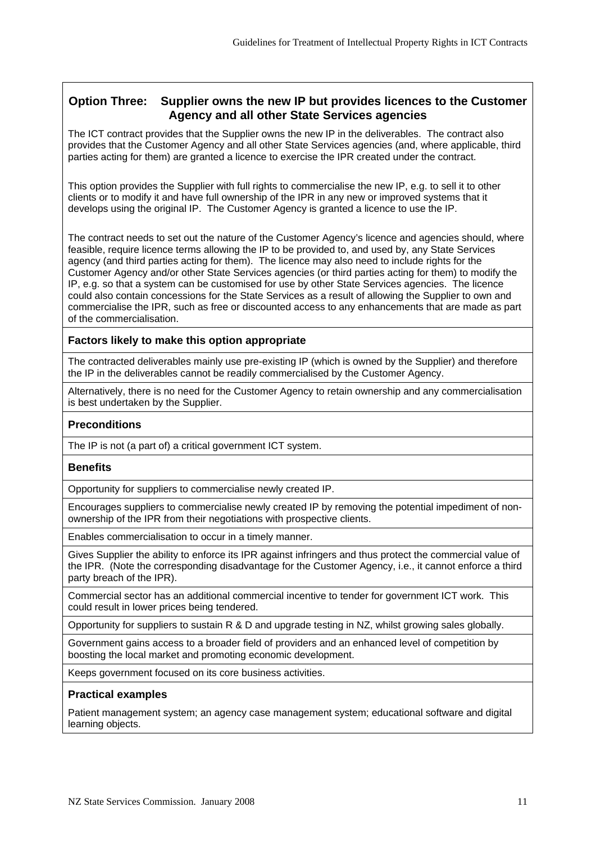## **Option Three: Supplier owns the new IP but provides licences to the Customer Agency and all other State Services agencies**

The ICT contract provides that the Supplier owns the new IP in the deliverables. The contract also provides that the Customer Agency and all other State Services agencies (and, where applicable, third parties acting for them) are granted a licence to exercise the IPR created under the contract.

This option provides the Supplier with full rights to commercialise the new IP, e.g. to sell it to other clients or to modify it and have full ownership of the IPR in any new or improved systems that it develops using the original IP. The Customer Agency is granted a licence to use the IP.

The contract needs to set out the nature of the Customer Agency's licence and agencies should, where feasible, require licence terms allowing the IP to be provided to, and used by, any State Services agency (and third parties acting for them). The licence may also need to include rights for the Customer Agency and/or other State Services agencies (or third parties acting for them) to modify the IP, e.g. so that a system can be customised for use by other State Services agencies. The licence could also contain concessions for the State Services as a result of allowing the Supplier to own and commercialise the IPR, such as free or discounted access to any enhancements that are made as part of the commercialisation.

### **Factors likely to make this option appropriate**

The contracted deliverables mainly use pre-existing IP (which is owned by the Supplier) and therefore the IP in the deliverables cannot be readily commercialised by the Customer Agency.

Alternatively, there is no need for the Customer Agency to retain ownership and any commercialisation is best undertaken by the Supplier.

## **Preconditions**

The IP is not (a part of) a critical government ICT system.

#### **Benefits**

Opportunity for suppliers to commercialise newly created IP.

Encourages suppliers to commercialise newly created IP by removing the potential impediment of nonownership of the IPR from their negotiations with prospective clients.

Enables commercialisation to occur in a timely manner.

Gives Supplier the ability to enforce its IPR against infringers and thus protect the commercial value of the IPR. (Note the corresponding disadvantage for the Customer Agency, i.e., it cannot enforce a third party breach of the IPR).

Commercial sector has an additional commercial incentive to tender for government ICT work. This could result in lower prices being tendered.

Opportunity for suppliers to sustain R & D and upgrade testing in NZ, whilst growing sales globally.

Government gains access to a broader field of providers and an enhanced level of competition by boosting the local market and promoting economic development.

Keeps government focused on its core business activities.

#### **Practical examples**

Patient management system; an agency case management system; educational software and digital learning objects.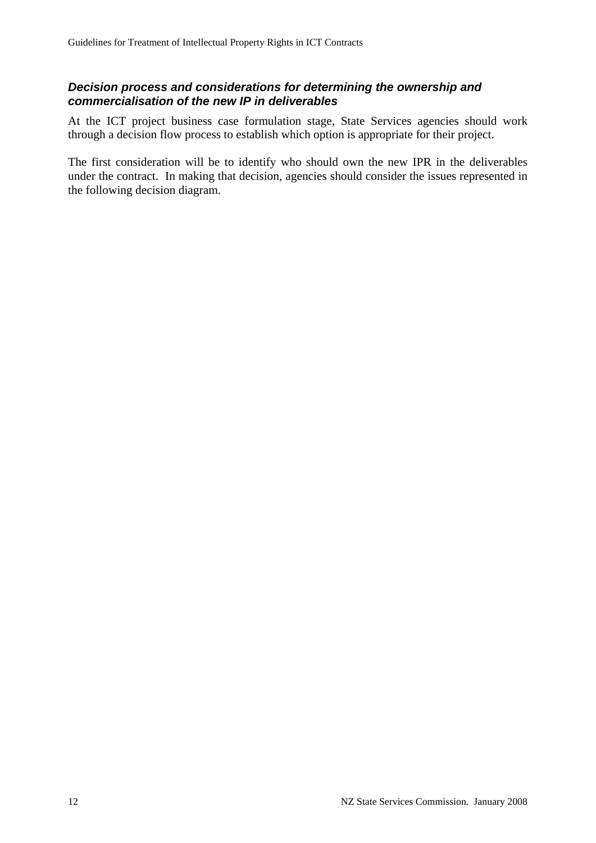## *Decision process and considerations for determining the ownership and commercialisation of the new IP in deliverables*

At the ICT project business case formulation stage, State Services agencies should work through a decision flow process to establish which option is appropriate for their project.

The first consideration will be to identify who should own the new IPR in the deliverables under the contract. In making that decision, agencies should consider the issues represented in the following decision diagram.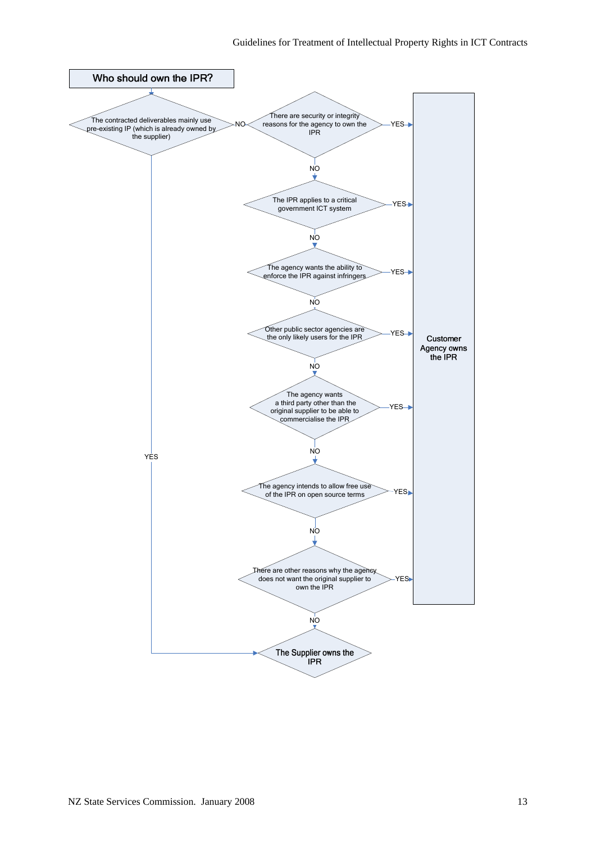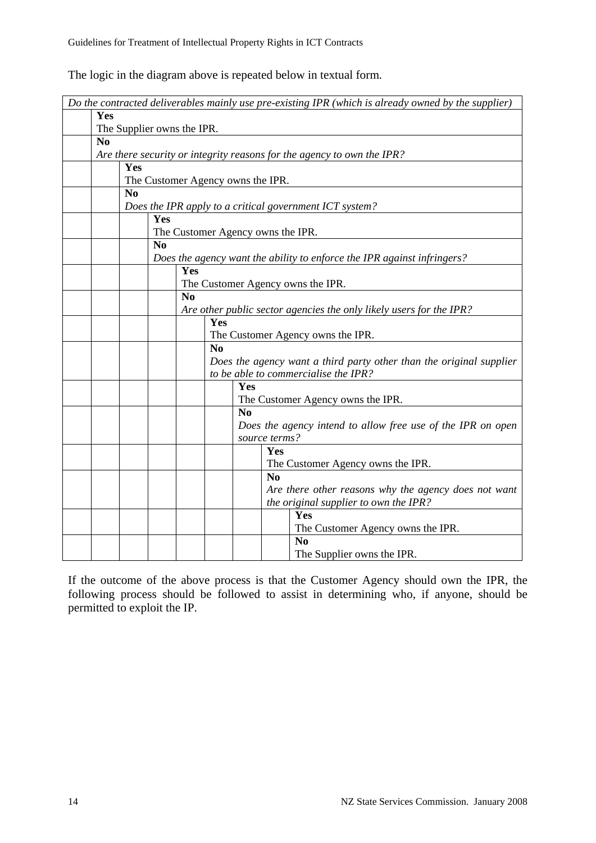| The logic in the diagram above is repeated below in textual form. |  |
|-------------------------------------------------------------------|--|
|-------------------------------------------------------------------|--|

| Do the contracted deliverables mainly use pre-existing IPR (which is already owned by the supplier) |                |                |                                   |                |                |                      |                                                                         |
|-----------------------------------------------------------------------------------------------------|----------------|----------------|-----------------------------------|----------------|----------------|----------------------|-------------------------------------------------------------------------|
| Yes                                                                                                 |                |                |                                   |                |                |                      |                                                                         |
|                                                                                                     |                |                | The Supplier owns the IPR.        |                |                |                      |                                                                         |
| N <sub>0</sub>                                                                                      |                |                |                                   |                |                |                      | Are there security or integrity reasons for the agency to own the IPR?  |
|                                                                                                     | Yes            |                |                                   |                |                |                      |                                                                         |
|                                                                                                     |                |                | The Customer Agency owns the IPR. |                |                |                      |                                                                         |
|                                                                                                     | N <sub>0</sub> |                |                                   |                |                |                      |                                                                         |
|                                                                                                     |                |                |                                   |                |                |                      | Does the IPR apply to a critical government ICT system?                 |
|                                                                                                     |                | Yes            |                                   |                |                |                      |                                                                         |
|                                                                                                     |                |                | The Customer Agency owns the IPR. |                |                |                      |                                                                         |
|                                                                                                     |                | N <sub>0</sub> |                                   |                |                |                      | Does the agency want the ability to enforce the IPR against infringers? |
|                                                                                                     |                |                | Yes                               |                |                |                      |                                                                         |
|                                                                                                     |                |                |                                   |                |                |                      | The Customer Agency owns the IPR.                                       |
|                                                                                                     |                |                | N <sub>0</sub>                    |                |                |                      |                                                                         |
|                                                                                                     |                |                |                                   |                |                |                      | Are other public sector agencies the only likely users for the IPR?     |
|                                                                                                     |                |                |                                   | Yes            |                |                      |                                                                         |
|                                                                                                     |                |                |                                   | N <sub>0</sub> |                |                      | The Customer Agency owns the IPR.                                       |
|                                                                                                     |                |                |                                   |                |                |                      | Does the agency want a third party other than the original supplier     |
|                                                                                                     |                |                |                                   |                |                |                      | to be able to commercialise the IPR?                                    |
|                                                                                                     |                |                |                                   |                | Yes            |                      |                                                                         |
|                                                                                                     |                |                |                                   |                |                |                      | The Customer Agency owns the IPR.                                       |
|                                                                                                     |                |                |                                   |                | N <sub>0</sub> |                      |                                                                         |
|                                                                                                     |                |                |                                   |                |                |                      | Does the agency intend to allow free use of the IPR on open             |
|                                                                                                     |                |                |                                   |                |                | source terms?<br>Yes |                                                                         |
|                                                                                                     |                |                |                                   |                |                |                      | The Customer Agency owns the IPR.                                       |
|                                                                                                     |                |                |                                   |                |                | N <sub>0</sub>       |                                                                         |
|                                                                                                     |                |                |                                   |                |                |                      | Are there other reasons why the agency does not want                    |
|                                                                                                     |                |                |                                   |                |                |                      | the original supplier to own the IPR?                                   |
|                                                                                                     |                |                |                                   |                |                |                      | Yes                                                                     |
|                                                                                                     |                |                |                                   |                |                |                      | The Customer Agency owns the IPR.                                       |
|                                                                                                     |                |                |                                   |                |                |                      | N <sub>0</sub>                                                          |
|                                                                                                     |                |                |                                   |                |                |                      | The Supplier owns the IPR.                                              |

If the outcome of the above process is that the Customer Agency should own the IPR, the following process should be followed to assist in determining who, if anyone, should be permitted to exploit the IP.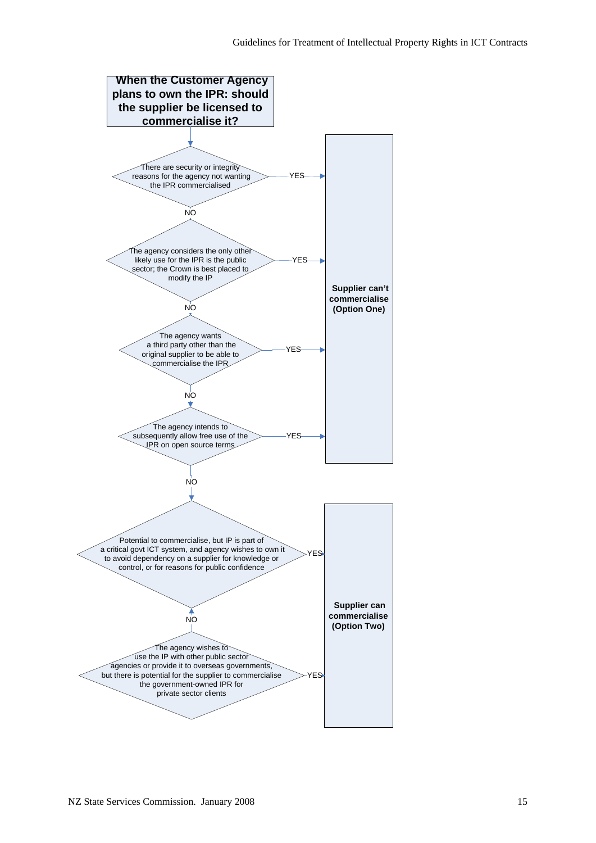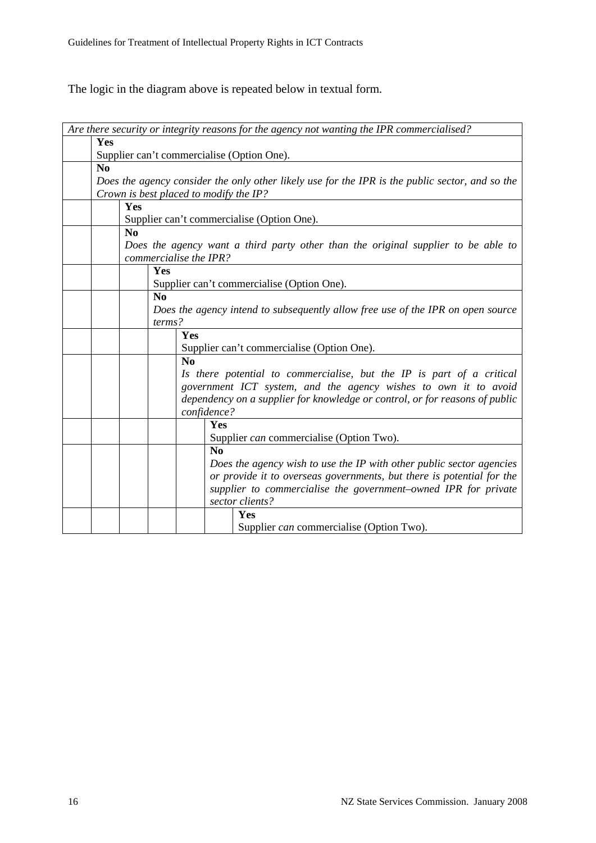The logic in the diagram above is repeated below in textual form.

| Are there security or integrity reasons for the agency not wanting the IPR commercialised?                  |  |  |  |  |  |  |
|-------------------------------------------------------------------------------------------------------------|--|--|--|--|--|--|
| Yes                                                                                                         |  |  |  |  |  |  |
| Supplier can't commercialise (Option One).                                                                  |  |  |  |  |  |  |
| No                                                                                                          |  |  |  |  |  |  |
| Does the agency consider the only other likely use for the IPR is the public sector, and so the             |  |  |  |  |  |  |
| Crown is best placed to modify the IP?                                                                      |  |  |  |  |  |  |
| Yes                                                                                                         |  |  |  |  |  |  |
| Supplier can't commercialise (Option One).                                                                  |  |  |  |  |  |  |
| N <sub>0</sub>                                                                                              |  |  |  |  |  |  |
|                                                                                                             |  |  |  |  |  |  |
| Does the agency want a third party other than the original supplier to be able to<br>commercialise the IPR? |  |  |  |  |  |  |
| Yes                                                                                                         |  |  |  |  |  |  |
| Supplier can't commercialise (Option One).                                                                  |  |  |  |  |  |  |
| No                                                                                                          |  |  |  |  |  |  |
| Does the agency intend to subsequently allow free use of the IPR on open source                             |  |  |  |  |  |  |
| terms?                                                                                                      |  |  |  |  |  |  |
| Yes                                                                                                         |  |  |  |  |  |  |
| Supplier can't commercialise (Option One).                                                                  |  |  |  |  |  |  |
| N <sub>0</sub>                                                                                              |  |  |  |  |  |  |
| Is there potential to commercialise, but the IP is part of a critical                                       |  |  |  |  |  |  |
| government ICT system, and the agency wishes to own it to avoid                                             |  |  |  |  |  |  |
| dependency on a supplier for knowledge or control, or for reasons of public                                 |  |  |  |  |  |  |
| confidence?                                                                                                 |  |  |  |  |  |  |
| Yes                                                                                                         |  |  |  |  |  |  |
| Supplier can commercialise (Option Two).                                                                    |  |  |  |  |  |  |
| N <sub>0</sub>                                                                                              |  |  |  |  |  |  |
| Does the agency wish to use the IP with other public sector agencies                                        |  |  |  |  |  |  |
| or provide it to overseas governments, but there is potential for the                                       |  |  |  |  |  |  |
|                                                                                                             |  |  |  |  |  |  |
| supplier to commercialise the government-owned IPR for private<br>sector clients?                           |  |  |  |  |  |  |
|                                                                                                             |  |  |  |  |  |  |
| Yes                                                                                                         |  |  |  |  |  |  |
| Supplier can commercialise (Option Two).                                                                    |  |  |  |  |  |  |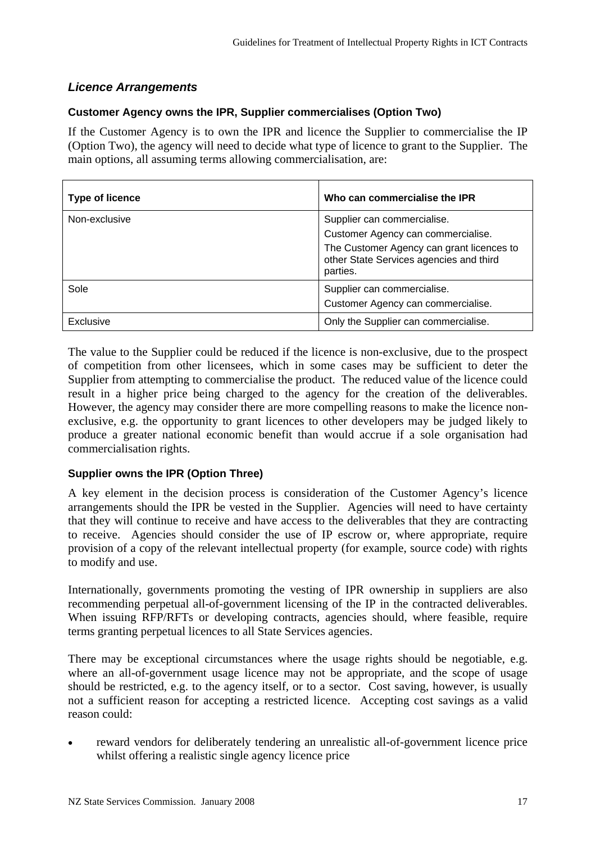## *Licence Arrangements*

## **Customer Agency owns the IPR, Supplier commercialises (Option Two)**

If the Customer Agency is to own the IPR and licence the Supplier to commercialise the IP (Option Two), the agency will need to decide what type of licence to grant to the Supplier. The main options, all assuming terms allowing commercialisation, are:

| <b>Type of licence</b> | Who can commercialise the IPR                                                                                                                                         |
|------------------------|-----------------------------------------------------------------------------------------------------------------------------------------------------------------------|
| Non-exclusive          | Supplier can commercialise.<br>Customer Agency can commercialise.<br>The Customer Agency can grant licences to<br>other State Services agencies and third<br>parties. |
| Sole                   | Supplier can commercialise.<br>Customer Agency can commercialise.                                                                                                     |
| Exclusive              | Only the Supplier can commercialise.                                                                                                                                  |

The value to the Supplier could be reduced if the licence is non-exclusive, due to the prospect of competition from other licensees, which in some cases may be sufficient to deter the Supplier from attempting to commercialise the product. The reduced value of the licence could result in a higher price being charged to the agency for the creation of the deliverables. However, the agency may consider there are more compelling reasons to make the licence nonexclusive, e.g. the opportunity to grant licences to other developers may be judged likely to produce a greater national economic benefit than would accrue if a sole organisation had commercialisation rights.

## **Supplier owns the IPR (Option Three)**

A key element in the decision process is consideration of the Customer Agency's licence arrangements should the IPR be vested in the Supplier. Agencies will need to have certainty that they will continue to receive and have access to the deliverables that they are contracting to receive. Agencies should consider the use of IP escrow or, where appropriate, require provision of a copy of the relevant intellectual property (for example, source code) with rights to modify and use.

Internationally, governments promoting the vesting of IPR ownership in suppliers are also recommending perpetual all-of-government licensing of the IP in the contracted deliverables. When issuing RFP/RFTs or developing contracts, agencies should, where feasible, require terms granting perpetual licences to all State Services agencies.

There may be exceptional circumstances where the usage rights should be negotiable, e.g. where an all-of-government usage licence may not be appropriate, and the scope of usage should be restricted, e.g. to the agency itself, or to a sector. Cost saving, however, is usually not a sufficient reason for accepting a restricted licence. Accepting cost savings as a valid reason could:

• reward vendors for deliberately tendering an unrealistic all-of-government licence price whilst offering a realistic single agency licence price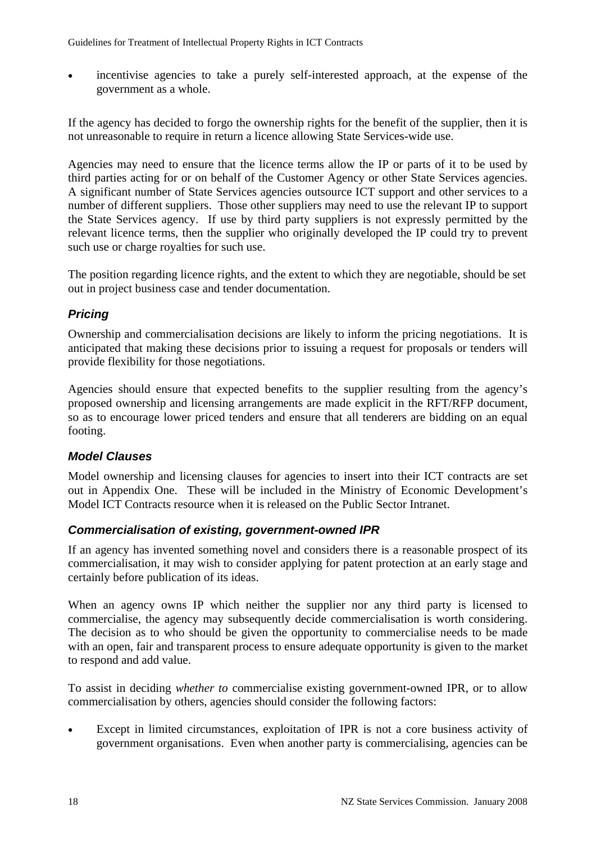• incentivise agencies to take a purely self-interested approach, at the expense of the government as a whole.

If the agency has decided to forgo the ownership rights for the benefit of the supplier, then it is not unreasonable to require in return a licence allowing State Services-wide use.

Agencies may need to ensure that the licence terms allow the IP or parts of it to be used by third parties acting for or on behalf of the Customer Agency or other State Services agencies. A significant number of State Services agencies outsource ICT support and other services to a number of different suppliers. Those other suppliers may need to use the relevant IP to support the State Services agency. If use by third party suppliers is not expressly permitted by the relevant licence terms, then the supplier who originally developed the IP could try to prevent such use or charge royalties for such use.

The position regarding licence rights, and the extent to which they are negotiable, should be set out in project business case and tender documentation.

## *Pricing*

Ownership and commercialisation decisions are likely to inform the pricing negotiations. It is anticipated that making these decisions prior to issuing a request for proposals or tenders will provide flexibility for those negotiations.

Agencies should ensure that expected benefits to the supplier resulting from the agency's proposed ownership and licensing arrangements are made explicit in the RFT/RFP document, so as to encourage lower priced tenders and ensure that all tenderers are bidding on an equal footing.

## *Model Clauses*

Model ownership and licensing clauses for agencies to insert into their ICT contracts are set out in Appendix One. These will be included in the Ministry of Economic Development's Model ICT Contracts resource when it is released on the Public Sector Intranet.

## *Commercialisation of existing, government-owned IPR*

If an agency has invented something novel and considers there is a reasonable prospect of its commercialisation, it may wish to consider applying for patent protection at an early stage and certainly before publication of its ideas.

When an agency owns IP which neither the supplier nor any third party is licensed to commercialise, the agency may subsequently decide commercialisation is worth considering. The decision as to who should be given the opportunity to commercialise needs to be made with an open, fair and transparent process to ensure adequate opportunity is given to the market to respond and add value.

To assist in deciding *whether to* commercialise existing government-owned IPR, or to allow commercialisation by others, agencies should consider the following factors:

Except in limited circumstances, exploitation of IPR is not a core business activity of government organisations. Even when another party is commercialising, agencies can be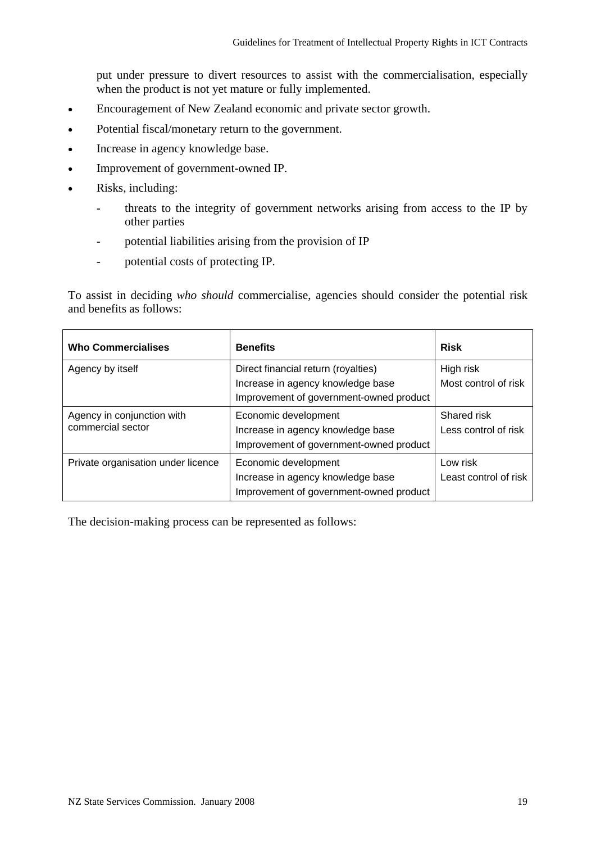put under pressure to divert resources to assist with the commercialisation, especially when the product is not yet mature or fully implemented.

- Encouragement of New Zealand economic and private sector growth.
- Potential fiscal/monetary return to the government.
- Increase in agency knowledge base.
- Improvement of government-owned IP.
- Risks, including:
	- threats to the integrity of government networks arising from access to the IP by other parties
	- potential liabilities arising from the provision of IP
	- potential costs of protecting IP.

To assist in deciding *who should* commercialise, agencies should consider the potential risk and benefits as follows:

| <b>Who Commercialises</b>                       | <b>Benefits</b>                                                                                                     | <b>Risk</b>                         |
|-------------------------------------------------|---------------------------------------------------------------------------------------------------------------------|-------------------------------------|
| Agency by itself                                | Direct financial return (royalties)<br>Increase in agency knowledge base<br>Improvement of government-owned product | High risk<br>Most control of risk   |
| Agency in conjunction with<br>commercial sector | Economic development<br>Increase in agency knowledge base<br>Improvement of government-owned product                | Shared risk<br>Less control of risk |
| Private organisation under licence              | Economic development<br>Increase in agency knowledge base<br>Improvement of government-owned product                | Low risk<br>Least control of risk   |

The decision-making process can be represented as follows: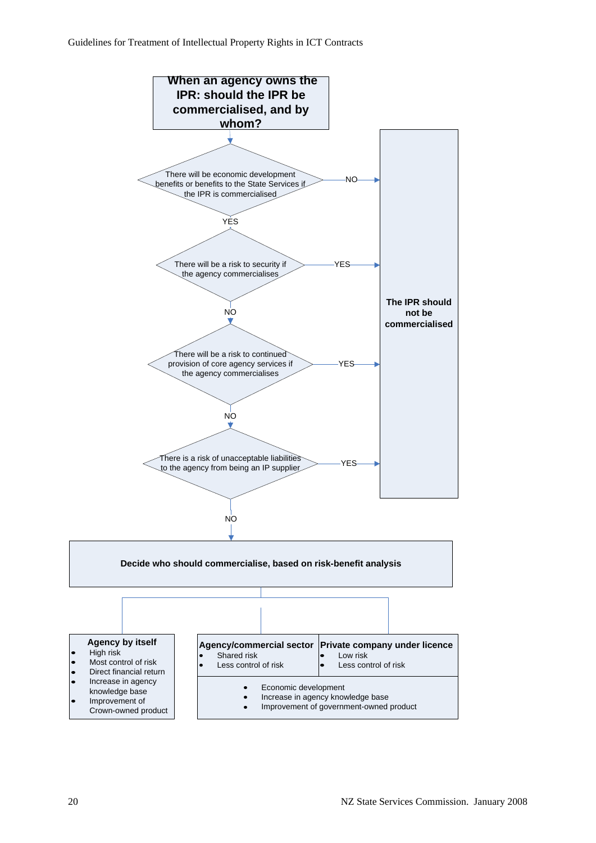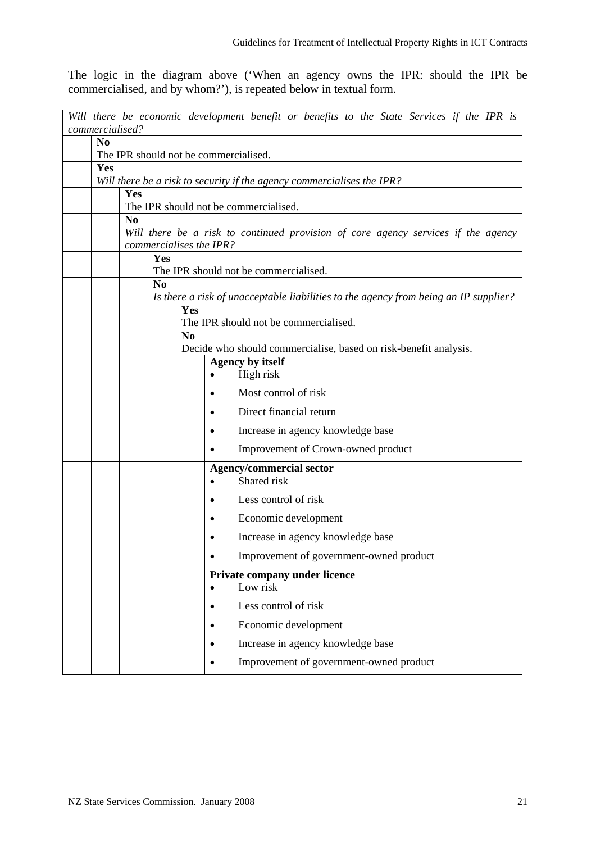The logic in the diagram above ('When an agency owns the IPR: should the IPR be commercialised, and by whom?'), is repeated below in textual form.

|                 | Will there be economic development benefit or benefits to the State Services if the IPR is                   |  |     |                |  |                                                                                      |  |  |  |  |
|-----------------|--------------------------------------------------------------------------------------------------------------|--|-----|----------------|--|--------------------------------------------------------------------------------------|--|--|--|--|
| commercialised? |                                                                                                              |  |     |                |  |                                                                                      |  |  |  |  |
|                 | N <sub>0</sub>                                                                                               |  |     |                |  |                                                                                      |  |  |  |  |
|                 | The IPR should not be commercialised.                                                                        |  |     |                |  |                                                                                      |  |  |  |  |
|                 | Yes<br>Will there be a risk to security if the agency commercialises the IPR?                                |  |     |                |  |                                                                                      |  |  |  |  |
|                 | Yes                                                                                                          |  |     |                |  |                                                                                      |  |  |  |  |
|                 |                                                                                                              |  |     |                |  | The IPR should not be commercialised.                                                |  |  |  |  |
|                 | N <sub>0</sub>                                                                                               |  |     |                |  |                                                                                      |  |  |  |  |
|                 | Will there be a risk to continued provision of core agency services if the agency<br>commercialises the IPR? |  |     |                |  |                                                                                      |  |  |  |  |
|                 |                                                                                                              |  | Yes |                |  |                                                                                      |  |  |  |  |
|                 |                                                                                                              |  |     |                |  | The IPR should not be commercialised.                                                |  |  |  |  |
|                 |                                                                                                              |  | No  |                |  | Is there a risk of unacceptable liabilities to the agency from being an IP supplier? |  |  |  |  |
|                 |                                                                                                              |  |     | Yes            |  |                                                                                      |  |  |  |  |
|                 |                                                                                                              |  |     |                |  | The IPR should not be commercialised.                                                |  |  |  |  |
|                 |                                                                                                              |  |     | N <sub>0</sub> |  |                                                                                      |  |  |  |  |
|                 |                                                                                                              |  |     |                |  | Decide who should commercialise, based on risk-benefit analysis.                     |  |  |  |  |
|                 |                                                                                                              |  |     |                |  | <b>Agency by itself</b>                                                              |  |  |  |  |
|                 |                                                                                                              |  |     |                |  | High risk                                                                            |  |  |  |  |
|                 |                                                                                                              |  |     |                |  | Most control of risk                                                                 |  |  |  |  |
|                 |                                                                                                              |  |     |                |  | Direct financial return                                                              |  |  |  |  |
|                 |                                                                                                              |  |     |                |  | Increase in agency knowledge base                                                    |  |  |  |  |
|                 |                                                                                                              |  |     |                |  | Improvement of Crown-owned product                                                   |  |  |  |  |
|                 |                                                                                                              |  |     |                |  | <b>Agency/commercial sector</b>                                                      |  |  |  |  |
|                 |                                                                                                              |  |     |                |  | Shared risk                                                                          |  |  |  |  |
|                 |                                                                                                              |  |     |                |  | Less control of risk                                                                 |  |  |  |  |
|                 |                                                                                                              |  |     |                |  | Economic development                                                                 |  |  |  |  |
|                 |                                                                                                              |  |     |                |  | Increase in agency knowledge base                                                    |  |  |  |  |
|                 |                                                                                                              |  |     |                |  | Improvement of government-owned product                                              |  |  |  |  |
|                 |                                                                                                              |  |     |                |  | Private company under licence                                                        |  |  |  |  |
|                 |                                                                                                              |  |     |                |  | Low risk                                                                             |  |  |  |  |
|                 |                                                                                                              |  |     |                |  | Less control of risk                                                                 |  |  |  |  |
|                 |                                                                                                              |  |     |                |  | Economic development                                                                 |  |  |  |  |
|                 |                                                                                                              |  |     |                |  | Increase in agency knowledge base                                                    |  |  |  |  |
|                 |                                                                                                              |  |     |                |  | Improvement of government-owned product                                              |  |  |  |  |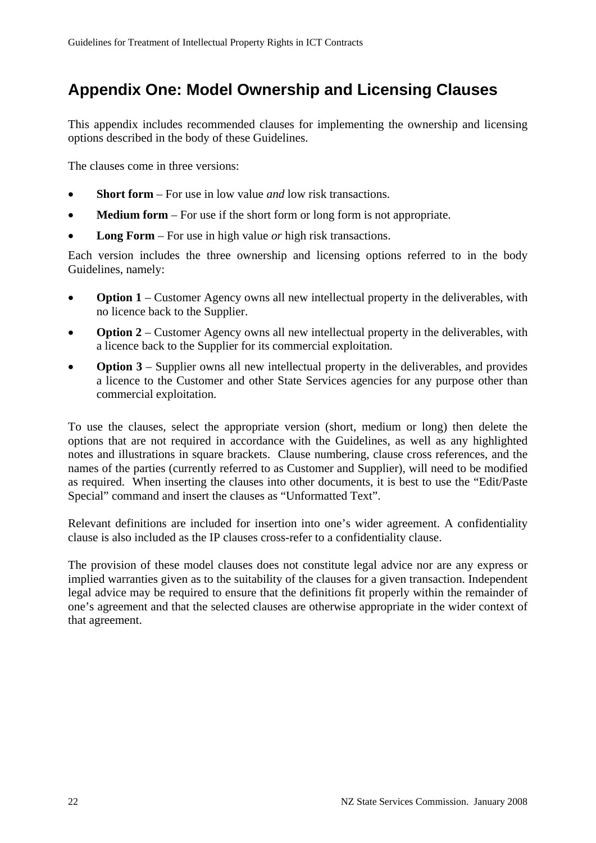## **Appendix One: Model Ownership and Licensing Clauses**

This appendix includes recommended clauses for implementing the ownership and licensing options described in the body of these Guidelines.

The clauses come in three versions:

- **Short form** For use in low value *and* low risk transactions.
- **Medium form** For use if the short form or long form is not appropriate.
- **Long Form**  For use in high value *or* high risk transactions.

Each version includes the three ownership and licensing options referred to in the body Guidelines, namely:

- **Option 1** Customer Agency owns all new intellectual property in the deliverables, with no licence back to the Supplier.
- **Option 2** Customer Agency owns all new intellectual property in the deliverables, with a licence back to the Supplier for its commercial exploitation.
- **Option 3** Supplier owns all new intellectual property in the deliverables, and provides a licence to the Customer and other State Services agencies for any purpose other than commercial exploitation.

To use the clauses, select the appropriate version (short, medium or long) then delete the options that are not required in accordance with the Guidelines, as well as any highlighted notes and illustrations in square brackets. Clause numbering, clause cross references, and the names of the parties (currently referred to as Customer and Supplier), will need to be modified as required. When inserting the clauses into other documents, it is best to use the "Edit/Paste Special" command and insert the clauses as "Unformatted Text".

Relevant definitions are included for insertion into one's wider agreement. A confidentiality clause is also included as the IP clauses cross-refer to a confidentiality clause.

The provision of these model clauses does not constitute legal advice nor are any express or implied warranties given as to the suitability of the clauses for a given transaction. Independent legal advice may be required to ensure that the definitions fit properly within the remainder of one's agreement and that the selected clauses are otherwise appropriate in the wider context of that agreement.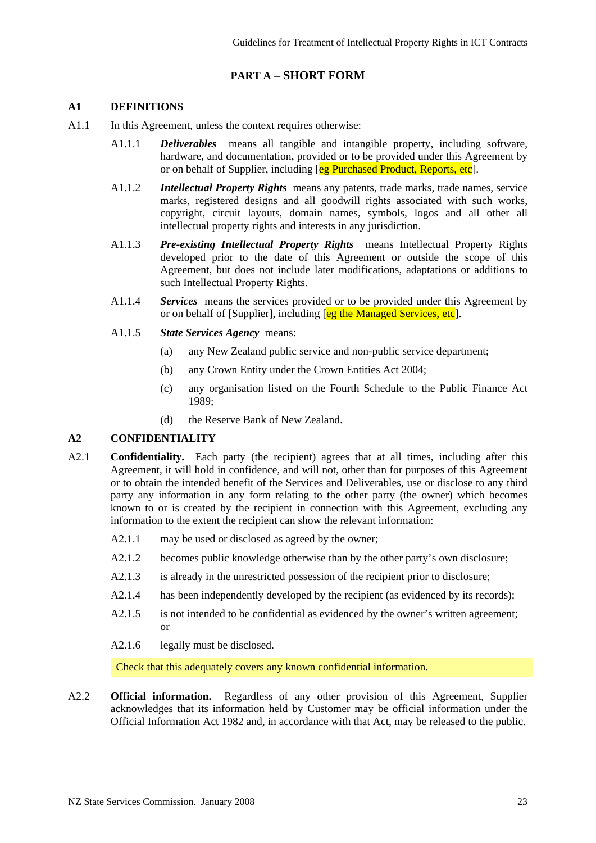## **PART A – SHORT FORM**

### **A1 DEFINITIONS**

- A1.1 In this Agreement, unless the context requires otherwise:
	- A1.1.1 *Deliverables* means all tangible and intangible property, including software, hardware, and documentation, provided or to be provided under this Agreement by or on behalf of Supplier, including [eg Purchased Product, Reports, etc].
	- A1.1.2 *Intellectual Property Rights* means any patents, trade marks, trade names, service marks, registered designs and all goodwill rights associated with such works, copyright, circuit layouts, domain names, symbols, logos and all other all intellectual property rights and interests in any jurisdiction.
	- A1.1.3 *Pre-existing Intellectual Property Rights* means Intellectual Property Rights developed prior to the date of this Agreement or outside the scope of this Agreement, but does not include later modifications, adaptations or additions to such Intellectual Property Rights.
	- A1.1.4 *Services* means the services provided or to be provided under this Agreement by or on behalf of [Supplier], including [eg the Managed Services, etc].
	- A1.1.5 *State Services Agency* means:
		- (a) any New Zealand public service and non-public service department;
		- (b) any Crown Entity under the Crown Entities Act 2004;
		- (c) any organisation listed on the Fourth Schedule to the Public Finance Act 1989;
		- (d) the Reserve Bank of New Zealand.

### **A2 CONFIDENTIALITY**

- A2.1 **Confidentiality.** Each party (the recipient) agrees that at all times, including after this Agreement, it will hold in confidence, and will not, other than for purposes of this Agreement or to obtain the intended benefit of the Services and Deliverables, use or disclose to any third party any information in any form relating to the other party (the owner) which becomes known to or is created by the recipient in connection with this Agreement, excluding any information to the extent the recipient can show the relevant information:
	- A2.1.1 may be used or disclosed as agreed by the owner;
	- A2.1.2 becomes public knowledge otherwise than by the other party's own disclosure;
	- A2.1.3 is already in the unrestricted possession of the recipient prior to disclosure;
	- A2.1.4 has been independently developed by the recipient (as evidenced by its records);
	- A2.1.5 is not intended to be confidential as evidenced by the owner's written agreement; or
	- A2.1.6 legally must be disclosed.

Check that this adequately covers any known confidential information.

A2.2 **Official information.** Regardless of any other provision of this Agreement, Supplier acknowledges that its information held by Customer may be official information under the Official Information Act 1982 and, in accordance with that Act, may be released to the public.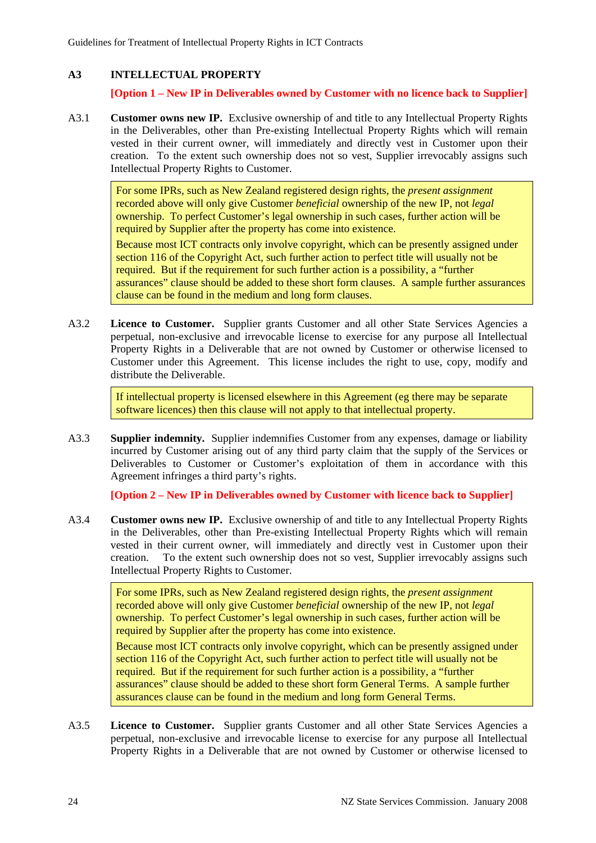## **A3 INTELLECTUAL PROPERTY**

## **[Option 1 – New IP in Deliverables owned by Customer with no licence back to Supplier]**

A3.1 **Customer owns new IP.** Exclusive ownership of and title to any Intellectual Property Rights in the Deliverables, other than Pre-existing Intellectual Property Rights which will remain vested in their current owner, will immediately and directly vest in Customer upon their creation. To the extent such ownership does not so vest, Supplier irrevocably assigns such Intellectual Property Rights to Customer.

> For some IPRs, such as New Zealand registered design rights, the *present assignment* recorded above will only give Customer *beneficial* ownership of the new IP, not *legal* ownership. To perfect Customer's legal ownership in such cases, further action will be required by Supplier after the property has come into existence.

Because most ICT contracts only involve copyright, which can be presently assigned under section 116 of the Copyright Act, such further action to perfect title will usually not be required. But if the requirement for such further action is a possibility, a "further assurances" clause should be added to these short form clauses. A sample further assurances clause can be found in the medium and long form clauses.

A3.2 **Licence to Customer.** Supplier grants Customer and all other State Services Agencies a perpetual, non-exclusive and irrevocable license to exercise for any purpose all Intellectual Property Rights in a Deliverable that are not owned by Customer or otherwise licensed to Customer under this Agreement. This license includes the right to use, copy, modify and distribute the Deliverable.

> If intellectual property is licensed elsewhere in this Agreement (eg there may be separate software licences) then this clause will not apply to that intellectual property.

A3.3 **Supplier indemnity.** Supplier indemnifies Customer from any expenses, damage or liability incurred by Customer arising out of any third party claim that the supply of the Services or Deliverables to Customer or Customer's exploitation of them in accordance with this Agreement infringes a third party's rights.

**[Option 2 – New IP in Deliverables owned by Customer with licence back to Supplier]** 

A3.4 **Customer owns new IP.** Exclusive ownership of and title to any Intellectual Property Rights in the Deliverables, other than Pre-existing Intellectual Property Rights which will remain vested in their current owner, will immediately and directly vest in Customer upon their creation. To the extent such ownership does not so vest, Supplier irrevocably assigns such Intellectual Property Rights to Customer.

> For some IPRs, such as New Zealand registered design rights, the *present assignment* recorded above will only give Customer *beneficial* ownership of the new IP, not *legal* ownership. To perfect Customer's legal ownership in such cases, further action will be required by Supplier after the property has come into existence.

Because most ICT contracts only involve copyright, which can be presently assigned under section 116 of the Copyright Act, such further action to perfect title will usually not be required. But if the requirement for such further action is a possibility, a "further assurances" clause should be added to these short form General Terms. A sample further assurances clause can be found in the medium and long form General Terms.

A3.5 **Licence to Customer.** Supplier grants Customer and all other State Services Agencies a perpetual, non-exclusive and irrevocable license to exercise for any purpose all Intellectual Property Rights in a Deliverable that are not owned by Customer or otherwise licensed to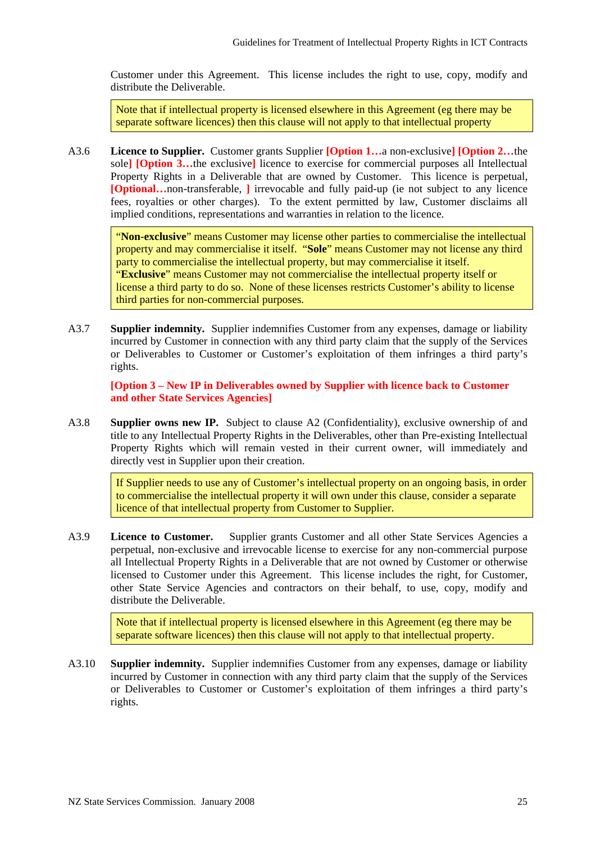Customer under this Agreement. This license includes the right to use, copy, modify and distribute the Deliverable.

Note that if intellectual property is licensed elsewhere in this Agreement (eg there may be separate software licences) then this clause will not apply to that intellectual property

A3.6 **Licence to Supplier.** Customer grants Supplier **[Option 1…**a non-exclusive**] [Option 2…**the sole**] [Option 3…**the exclusive**]** licence to exercise for commercial purposes all Intellectual Property Rights in a Deliverable that are owned by Customer. This licence is perpetual, **[Optional…**non-transferable, **]** irrevocable and fully paid-up (ie not subject to any licence fees, royalties or other charges). To the extent permitted by law, Customer disclaims all implied conditions, representations and warranties in relation to the licence.

> "**Non-exclusive**" means Customer may license other parties to commercialise the intellectual property and may commercialise it itself. "**Sole**" means Customer may not license any third party to commercialise the intellectual property, but may commercialise it itself. "**Exclusive**" means Customer may not commercialise the intellectual property itself or license a third party to do so. None of these licenses restricts Customer's ability to license third parties for non-commercial purposes.

A3.7 **Supplier indemnity.** Supplier indemnifies Customer from any expenses, damage or liability incurred by Customer in connection with any third party claim that the supply of the Services or Deliverables to Customer or Customer's exploitation of them infringes a third party's rights.

**[Option 3 – New IP in Deliverables owned by Supplier with licence back to Customer and other State Services Agencies]**

A3.8 **Supplier owns new IP.** Subject to clause A2 (Confidentiality), exclusive ownership of and title to any Intellectual Property Rights in the Deliverables, other than Pre-existing Intellectual Property Rights which will remain vested in their current owner, will immediately and directly vest in Supplier upon their creation.

> If Supplier needs to use any of Customer's intellectual property on an ongoing basis, in order to commercialise the intellectual property it will own under this clause, consider a separate licence of that intellectual property from Customer to Supplier.

A3.9 **Licence to Customer.** Supplier grants Customer and all other State Services Agencies a perpetual, non-exclusive and irrevocable license to exercise for any non-commercial purpose all Intellectual Property Rights in a Deliverable that are not owned by Customer or otherwise licensed to Customer under this Agreement. This license includes the right, for Customer, other State Service Agencies and contractors on their behalf, to use, copy, modify and distribute the Deliverable.

> Note that if intellectual property is licensed elsewhere in this Agreement (eg there may be separate software licences) then this clause will not apply to that intellectual property.

A3.10 **Supplier indemnity.** Supplier indemnifies Customer from any expenses, damage or liability incurred by Customer in connection with any third party claim that the supply of the Services or Deliverables to Customer or Customer's exploitation of them infringes a third party's rights.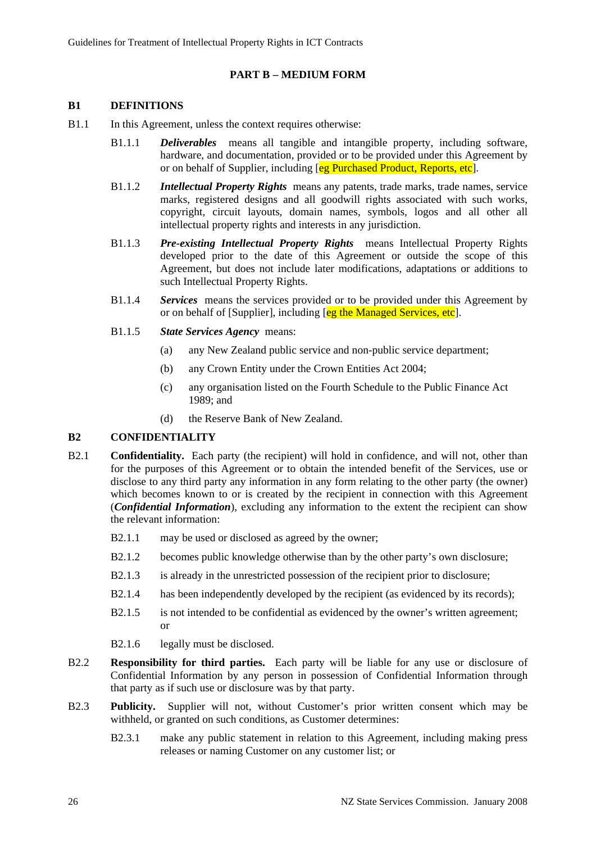## **PART B – MEDIUM FORM**

### **B1 DEFINITIONS**

- B1.1 In this Agreement, unless the context requires otherwise:
	- B1.1.1 *Deliverables* means all tangible and intangible property, including software, hardware, and documentation, provided or to be provided under this Agreement by or on behalf of Supplier, including [eg Purchased Product, Reports, etc].
	- B1.1.2 *Intellectual Property Rights* means any patents, trade marks, trade names, service marks, registered designs and all goodwill rights associated with such works, copyright, circuit layouts, domain names, symbols, logos and all other all intellectual property rights and interests in any jurisdiction.
	- B1.1.3 *Pre-existing Intellectual Property Rights* means Intellectual Property Rights developed prior to the date of this Agreement or outside the scope of this Agreement, but does not include later modifications, adaptations or additions to such Intellectual Property Rights.
	- B1.1.4 *Services* means the services provided or to be provided under this Agreement by or on behalf of [Supplier], including [eg the Managed Services, etc].
	- B1.1.5 *State Services Agency* means:
		- (a) any New Zealand public service and non-public service department;
		- (b) any Crown Entity under the Crown Entities Act 2004;
		- (c) any organisation listed on the Fourth Schedule to the Public Finance Act 1989; and
		- (d) the Reserve Bank of New Zealand.

### **B2 CONFIDENTIALITY**

- B2.1 **Confidentiality.** Each party (the recipient) will hold in confidence, and will not, other than for the purposes of this Agreement or to obtain the intended benefit of the Services, use or disclose to any third party any information in any form relating to the other party (the owner) which becomes known to or is created by the recipient in connection with this Agreement (*Confidential Information*), excluding any information to the extent the recipient can show the relevant information:
	- B2.1.1 may be used or disclosed as agreed by the owner;
	- B2.1.2 becomes public knowledge otherwise than by the other party's own disclosure;
	- B2.1.3 is already in the unrestricted possession of the recipient prior to disclosure;
	- B2.1.4 has been independently developed by the recipient (as evidenced by its records);
	- B2.1.5 is not intended to be confidential as evidenced by the owner's written agreement; or
	- B2.1.6 legally must be disclosed.
- B2.2 **Responsibility for third parties.** Each party will be liable for any use or disclosure of Confidential Information by any person in possession of Confidential Information through that party as if such use or disclosure was by that party.
- B2.3 **Publicity.** Supplier will not, without Customer's prior written consent which may be withheld, or granted on such conditions, as Customer determines:
	- B2.3.1 make any public statement in relation to this Agreement, including making press releases or naming Customer on any customer list; or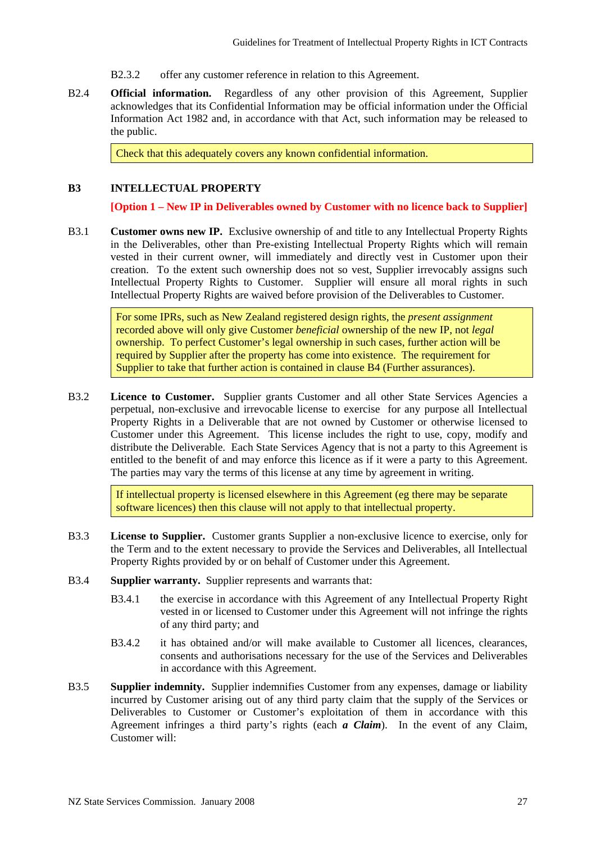- B2.3.2 offer any customer reference in relation to this Agreement.
- B2.4 **Official information.** Regardless of any other provision of this Agreement, Supplier acknowledges that its Confidential Information may be official information under the Official Information Act 1982 and, in accordance with that Act, such information may be released to the public.

Check that this adequately covers any known confidential information.

### **B3 INTELLECTUAL PROPERTY**

**[Option 1 – New IP in Deliverables owned by Customer with no licence back to Supplier]** 

B3.1 **Customer owns new IP.** Exclusive ownership of and title to any Intellectual Property Rights in the Deliverables, other than Pre-existing Intellectual Property Rights which will remain vested in their current owner, will immediately and directly vest in Customer upon their creation. To the extent such ownership does not so vest, Supplier irrevocably assigns such Intellectual Property Rights to Customer. Supplier will ensure all moral rights in such Intellectual Property Rights are waived before provision of the Deliverables to Customer.

> For some IPRs, such as New Zealand registered design rights, the *present assignment* recorded above will only give Customer *beneficial* ownership of the new IP, not *legal* ownership. To perfect Customer's legal ownership in such cases, further action will be required by Supplier after the property has come into existence. The requirement for Supplier to take that further action is contained in clause B4 (Further assurances).

B3.2 **Licence to Customer.** Supplier grants Customer and all other State Services Agencies a perpetual, non-exclusive and irrevocable license to exercise for any purpose all Intellectual Property Rights in a Deliverable that are not owned by Customer or otherwise licensed to Customer under this Agreement. This license includes the right to use, copy, modify and distribute the Deliverable. Each State Services Agency that is not a party to this Agreement is entitled to the benefit of and may enforce this licence as if it were a party to this Agreement. The parties may vary the terms of this license at any time by agreement in writing.

> If intellectual property is licensed elsewhere in this Agreement (eg there may be separate software licences) then this clause will not apply to that intellectual property.

- B3.3 **License to Supplier.** Customer grants Supplier a non-exclusive licence to exercise, only for the Term and to the extent necessary to provide the Services and Deliverables, all Intellectual Property Rights provided by or on behalf of Customer under this Agreement.
- B3.4 **Supplier warranty.** Supplier represents and warrants that:
	- B3.4.1 the exercise in accordance with this Agreement of any Intellectual Property Right vested in or licensed to Customer under this Agreement will not infringe the rights of any third party; and
	- B3.4.2 it has obtained and/or will make available to Customer all licences, clearances, consents and authorisations necessary for the use of the Services and Deliverables in accordance with this Agreement.
- B3.5 **Supplier indemnity.** Supplier indemnifies Customer from any expenses, damage or liability incurred by Customer arising out of any third party claim that the supply of the Services or Deliverables to Customer or Customer's exploitation of them in accordance with this Agreement infringes a third party's rights (each *a Claim*). In the event of any Claim, Customer will: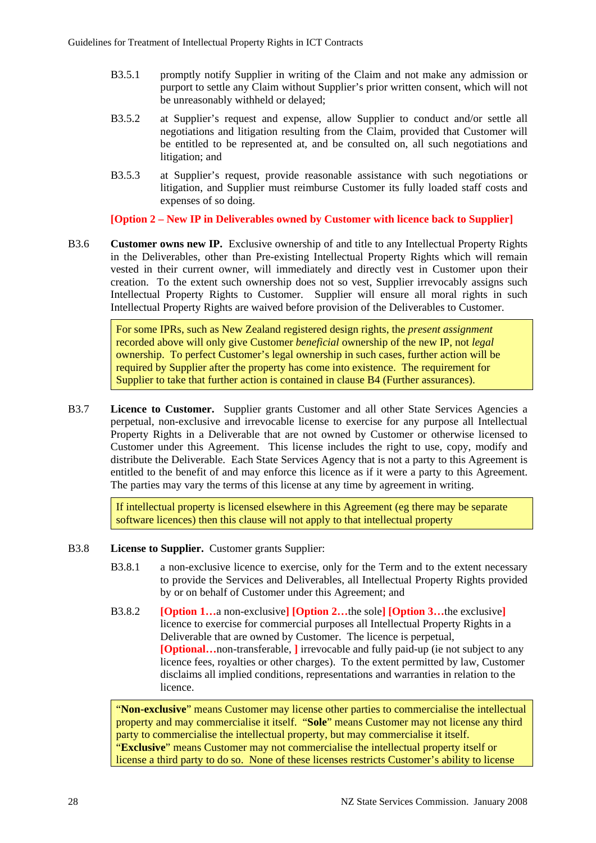- B3.5.1 promptly notify Supplier in writing of the Claim and not make any admission or purport to settle any Claim without Supplier's prior written consent, which will not be unreasonably withheld or delayed;
- B3.5.2 at Supplier's request and expense, allow Supplier to conduct and/or settle all negotiations and litigation resulting from the Claim, provided that Customer will be entitled to be represented at, and be consulted on, all such negotiations and litigation; and
- B3.5.3 at Supplier's request, provide reasonable assistance with such negotiations or litigation, and Supplier must reimburse Customer its fully loaded staff costs and expenses of so doing.

**[Option 2 – New IP in Deliverables owned by Customer with licence back to Supplier]** 

B3.6 **Customer owns new IP.** Exclusive ownership of and title to any Intellectual Property Rights in the Deliverables, other than Pre-existing Intellectual Property Rights which will remain vested in their current owner, will immediately and directly vest in Customer upon their creation. To the extent such ownership does not so vest, Supplier irrevocably assigns such Intellectual Property Rights to Customer. Supplier will ensure all moral rights in such Intellectual Property Rights are waived before provision of the Deliverables to Customer.

> For some IPRs, such as New Zealand registered design rights, the *present assignment* recorded above will only give Customer *beneficial* ownership of the new IP, not *legal* ownership. To perfect Customer's legal ownership in such cases, further action will be required by Supplier after the property has come into existence. The requirement for Supplier to take that further action is contained in clause B4 (Further assurances).

B3.7 **Licence to Customer.** Supplier grants Customer and all other State Services Agencies a perpetual, non-exclusive and irrevocable license to exercise for any purpose all Intellectual Property Rights in a Deliverable that are not owned by Customer or otherwise licensed to Customer under this Agreement. This license includes the right to use, copy, modify and distribute the Deliverable. Each State Services Agency that is not a party to this Agreement is entitled to the benefit of and may enforce this licence as if it were a party to this Agreement. The parties may vary the terms of this license at any time by agreement in writing.

> If intellectual property is licensed elsewhere in this Agreement (eg there may be separate software licences) then this clause will not apply to that intellectual property

- B3.8 **License to Supplier.** Customer grants Supplier:
	- B3.8.1 a non-exclusive licence to exercise, only for the Term and to the extent necessary to provide the Services and Deliverables, all Intellectual Property Rights provided by or on behalf of Customer under this Agreement; and
	- B3.8.2 **[Option 1…**a non-exclusive**] [Option 2…**the sole**] [Option 3…**the exclusive**]** licence to exercise for commercial purposes all Intellectual Property Rights in a Deliverable that are owned by Customer. The licence is perpetual, **[Optional…**non-transferable, **]** irrevocable and fully paid-up (ie not subject to any licence fees, royalties or other charges). To the extent permitted by law, Customer disclaims all implied conditions, representations and warranties in relation to the licence.

"**Non-exclusive**" means Customer may license other parties to commercialise the intellectual property and may commercialise it itself. "**Sole**" means Customer may not license any third party to commercialise the intellectual property, but may commercialise it itself. "**Exclusive**" means Customer may not commercialise the intellectual property itself or license a third party to do so. None of these licenses restricts Customer's ability to license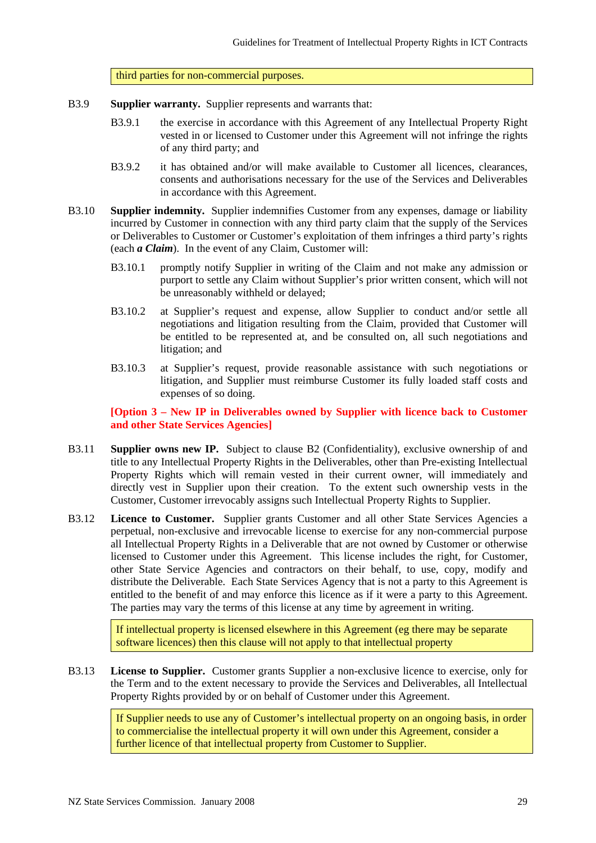third parties for non-commercial purposes.

- B3.9 **Supplier warranty.** Supplier represents and warrants that:
	- B3.9.1 the exercise in accordance with this Agreement of any Intellectual Property Right vested in or licensed to Customer under this Agreement will not infringe the rights of any third party; and
	- B3.9.2 it has obtained and/or will make available to Customer all licences, clearances, consents and authorisations necessary for the use of the Services and Deliverables in accordance with this Agreement.
- B3.10 **Supplier indemnity.** Supplier indemnifies Customer from any expenses, damage or liability incurred by Customer in connection with any third party claim that the supply of the Services or Deliverables to Customer or Customer's exploitation of them infringes a third party's rights (each *a Claim*). In the event of any Claim, Customer will:
	- B3.10.1 promptly notify Supplier in writing of the Claim and not make any admission or purport to settle any Claim without Supplier's prior written consent, which will not be unreasonably withheld or delayed;
	- B3.10.2 at Supplier's request and expense, allow Supplier to conduct and/or settle all negotiations and litigation resulting from the Claim, provided that Customer will be entitled to be represented at, and be consulted on, all such negotiations and litigation; and
	- B3.10.3 at Supplier's request, provide reasonable assistance with such negotiations or litigation, and Supplier must reimburse Customer its fully loaded staff costs and expenses of so doing.

**[Option 3 – New IP in Deliverables owned by Supplier with licence back to Customer and other State Services Agencies]**

- B3.11 **Supplier owns new IP.** Subject to clause B2 (Confidentiality), exclusive ownership of and title to any Intellectual Property Rights in the Deliverables, other than Pre-existing Intellectual Property Rights which will remain vested in their current owner, will immediately and directly vest in Supplier upon their creation. To the extent such ownership vests in the Customer, Customer irrevocably assigns such Intellectual Property Rights to Supplier.
- B3.12 **Licence to Customer.** Supplier grants Customer and all other State Services Agencies a perpetual, non-exclusive and irrevocable license to exercise for any non-commercial purpose all Intellectual Property Rights in a Deliverable that are not owned by Customer or otherwise licensed to Customer under this Agreement. This license includes the right, for Customer, other State Service Agencies and contractors on their behalf, to use, copy, modify and distribute the Deliverable. Each State Services Agency that is not a party to this Agreement is entitled to the benefit of and may enforce this licence as if it were a party to this Agreement. The parties may vary the terms of this license at any time by agreement in writing.

If intellectual property is licensed elsewhere in this Agreement (eg there may be separate software licences) then this clause will not apply to that intellectual property

B3.13 **License to Supplier.** Customer grants Supplier a non-exclusive licence to exercise, only for the Term and to the extent necessary to provide the Services and Deliverables, all Intellectual Property Rights provided by or on behalf of Customer under this Agreement.

> If Supplier needs to use any of Customer's intellectual property on an ongoing basis, in order to commercialise the intellectual property it will own under this Agreement, consider a further licence of that intellectual property from Customer to Supplier.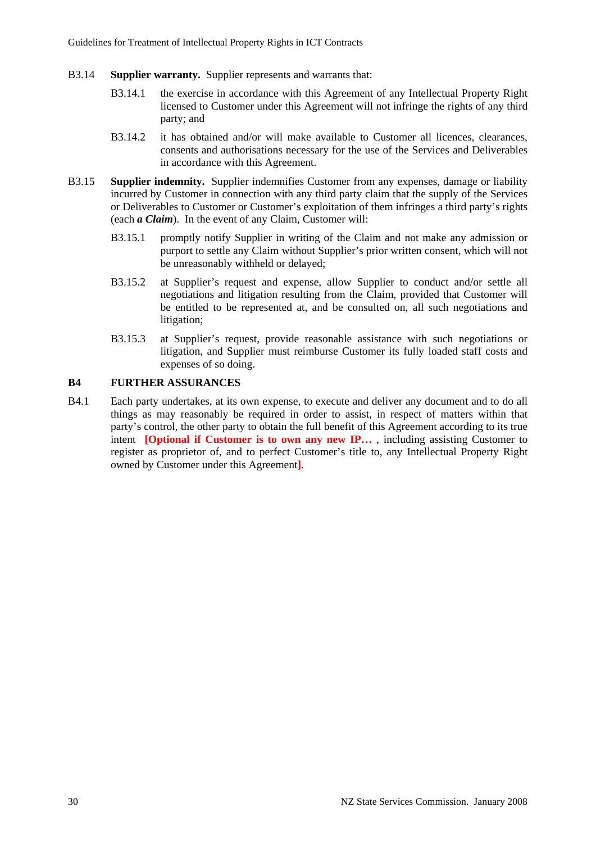- B3.14 **Supplier warranty.** Supplier represents and warrants that:
	- B3.14.1 the exercise in accordance with this Agreement of any Intellectual Property Right licensed to Customer under this Agreement will not infringe the rights of any third party; and
	- B3.14.2 it has obtained and/or will make available to Customer all licences, clearances, consents and authorisations necessary for the use of the Services and Deliverables in accordance with this Agreement.
- B3.15 **Supplier indemnity.** Supplier indemnifies Customer from any expenses, damage or liability incurred by Customer in connection with any third party claim that the supply of the Services or Deliverables to Customer or Customer's exploitation of them infringes a third party's rights (each *a Claim*). In the event of any Claim, Customer will:
	- B3.15.1 promptly notify Supplier in writing of the Claim and not make any admission or purport to settle any Claim without Supplier's prior written consent, which will not be unreasonably withheld or delayed;
	- B3.15.2 at Supplier's request and expense, allow Supplier to conduct and/or settle all negotiations and litigation resulting from the Claim, provided that Customer will be entitled to be represented at, and be consulted on, all such negotiations and litigation;
	- B3.15.3 at Supplier's request, provide reasonable assistance with such negotiations or litigation, and Supplier must reimburse Customer its fully loaded staff costs and expenses of so doing.

#### **B4 FURTHER ASSURANCES**

B4.1 Each party undertakes, at its own expense, to execute and deliver any document and to do all things as may reasonably be required in order to assist, in respect of matters within that party's control, the other party to obtain the full benefit of this Agreement according to its true intent **[Optional if Customer is to own any new IP...**, including assisting Customer to register as proprietor of, and to perfect Customer's title to, any Intellectual Property Right owned by Customer under this Agreement**]**.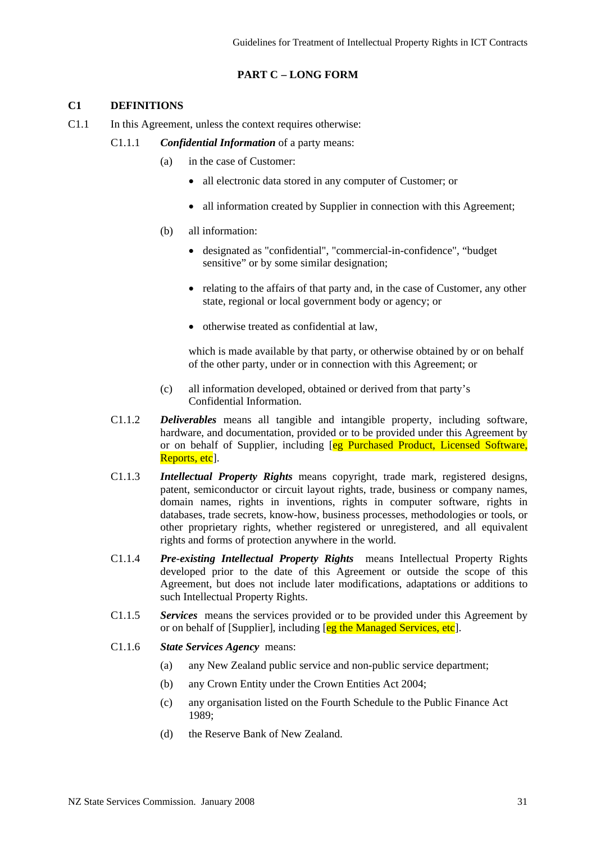## **PART C – LONG FORM**

### **C1 DEFINITIONS**

- C1.1 In this Agreement, unless the context requires otherwise:
	- C1.1.1 *Confidential Information* of a party means:
		- (a) in the case of Customer:
			- all electronic data stored in any computer of Customer; or
			- all information created by Supplier in connection with this Agreement;
		- (b) all information:
			- designated as "confidential", "commercial-in-confidence", "budget sensitive" or by some similar designation;
			- relating to the affairs of that party and, in the case of Customer, any other state, regional or local government body or agency; or
			- otherwise treated as confidential at law,

which is made available by that party, or otherwise obtained by or on behalf of the other party, under or in connection with this Agreement; or

- (c) all information developed, obtained or derived from that party's Confidential Information.
- C1.1.2 *Deliverables* means all tangible and intangible property, including software, hardware, and documentation, provided or to be provided under this Agreement by or on behalf of Supplier, including [eg Purchased Product, Licensed Software, Reports, etc<sup>[1]</sup>.
- C1.1.3 *Intellectual Property Rights* means copyright, trade mark, registered designs, patent, semiconductor or circuit layout rights, trade, business or company names, domain names, rights in inventions, rights in computer software, rights in databases, trade secrets, know-how, business processes, methodologies or tools, or other proprietary rights, whether registered or unregistered, and all equivalent rights and forms of protection anywhere in the world.
- C1.1.4 *Pre-existing Intellectual Property Rights* means Intellectual Property Rights developed prior to the date of this Agreement or outside the scope of this Agreement, but does not include later modifications, adaptations or additions to such Intellectual Property Rights.
- C1.1.5 *Services* means the services provided or to be provided under this Agreement by or on behalf of [Supplier], including [eg the Managed Services, etc].
- C1.1.6 *State Services Agency* means:
	- (a) any New Zealand public service and non-public service department;
	- (b) any Crown Entity under the Crown Entities Act 2004;
	- (c) any organisation listed on the Fourth Schedule to the Public Finance Act 1989;
	- (d) the Reserve Bank of New Zealand.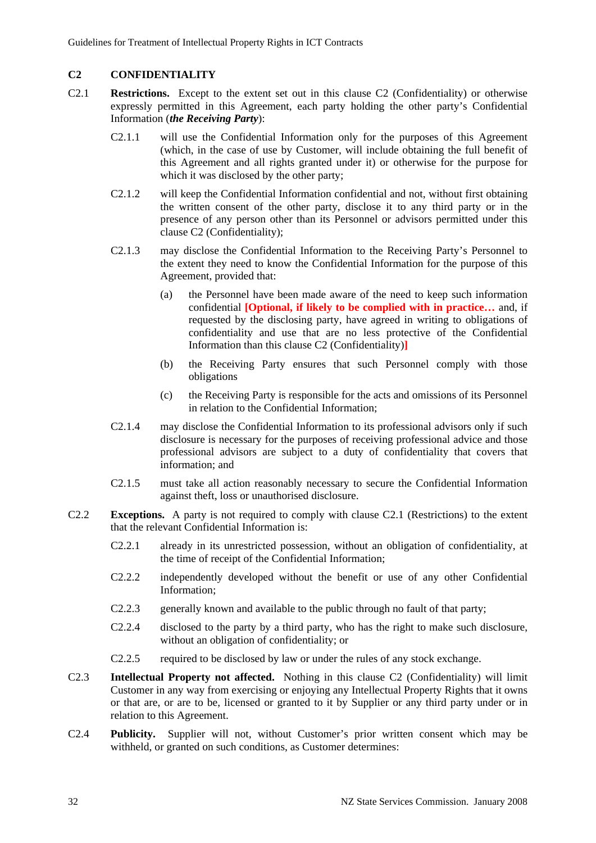## **C2 CONFIDENTIALITY**

- C2.1 **Restrictions.** Except to the extent set out in this clause C2 (Confidentiality) or otherwise expressly permitted in this Agreement, each party holding the other party's Confidential Information (*the Receiving Party*):
	- C2.1.1 will use the Confidential Information only for the purposes of this Agreement (which, in the case of use by Customer, will include obtaining the full benefit of this Agreement and all rights granted under it) or otherwise for the purpose for which it was disclosed by the other party;
	- C2.1.2 will keep the Confidential Information confidential and not, without first obtaining the written consent of the other party, disclose it to any third party or in the presence of any person other than its Personnel or advisors permitted under this clause C2 (Confidentiality);
	- C2.1.3 may disclose the Confidential Information to the Receiving Party's Personnel to the extent they need to know the Confidential Information for the purpose of this Agreement, provided that:
		- (a) the Personnel have been made aware of the need to keep such information confidential **[Optional, if likely to be complied with in practice…** and, if requested by the disclosing party, have agreed in writing to obligations of confidentiality and use that are no less protective of the Confidential Information than this clause C2 (Confidentiality)**]**
		- (b) the Receiving Party ensures that such Personnel comply with those obligations
		- (c) the Receiving Party is responsible for the acts and omissions of its Personnel in relation to the Confidential Information;
	- C2.1.4 may disclose the Confidential Information to its professional advisors only if such disclosure is necessary for the purposes of receiving professional advice and those professional advisors are subject to a duty of confidentiality that covers that information; and
	- C2.1.5 must take all action reasonably necessary to secure the Confidential Information against theft, loss or unauthorised disclosure.
- C2.2 **Exceptions.** A party is not required to comply with clause C2.1 (Restrictions) to the extent that the relevant Confidential Information is:
	- C2.2.1 already in its unrestricted possession, without an obligation of confidentiality, at the time of receipt of the Confidential Information;
	- C2.2.2 independently developed without the benefit or use of any other Confidential Information;
	- C2.2.3 generally known and available to the public through no fault of that party;
	- C2.2.4 disclosed to the party by a third party, who has the right to make such disclosure, without an obligation of confidentiality; or
	- C2.2.5 required to be disclosed by law or under the rules of any stock exchange.
- C2.3 **Intellectual Property not affected.** Nothing in this clause C2 (Confidentiality) will limit Customer in any way from exercising or enjoying any Intellectual Property Rights that it owns or that are, or are to be, licensed or granted to it by Supplier or any third party under or in relation to this Agreement.
- C2.4 **Publicity.** Supplier will not, without Customer's prior written consent which may be withheld, or granted on such conditions, as Customer determines: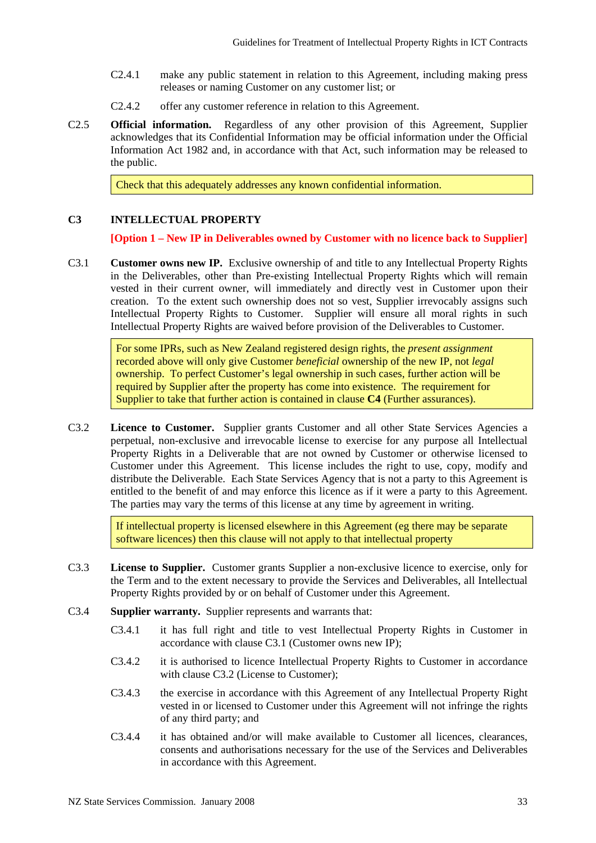- C2.4.1 make any public statement in relation to this Agreement, including making press releases or naming Customer on any customer list; or
- C2.4.2 offer any customer reference in relation to this Agreement.
- C2.5 **Official information.** Regardless of any other provision of this Agreement, Supplier acknowledges that its Confidential Information may be official information under the Official Information Act 1982 and, in accordance with that Act, such information may be released to the public.

Check that this adequately addresses any known confidential information.

### **C3 INTELLECTUAL PROPERTY**

**[Option 1 – New IP in Deliverables owned by Customer with no licence back to Supplier]** 

C3.1 **Customer owns new IP.** Exclusive ownership of and title to any Intellectual Property Rights in the Deliverables, other than Pre-existing Intellectual Property Rights which will remain vested in their current owner, will immediately and directly vest in Customer upon their creation. To the extent such ownership does not so vest, Supplier irrevocably assigns such Intellectual Property Rights to Customer. Supplier will ensure all moral rights in such Intellectual Property Rights are waived before provision of the Deliverables to Customer.

> For some IPRs, such as New Zealand registered design rights, the *present assignment* recorded above will only give Customer *beneficial* ownership of the new IP, not *legal* ownership. To perfect Customer's legal ownership in such cases, further action will be required by Supplier after the property has come into existence. The requirement for Supplier to take that further action is contained in clause **C4** (Further assurances).

C3.2 **Licence to Customer.** Supplier grants Customer and all other State Services Agencies a perpetual, non-exclusive and irrevocable license to exercise for any purpose all Intellectual Property Rights in a Deliverable that are not owned by Customer or otherwise licensed to Customer under this Agreement. This license includes the right to use, copy, modify and distribute the Deliverable. Each State Services Agency that is not a party to this Agreement is entitled to the benefit of and may enforce this licence as if it were a party to this Agreement. The parties may vary the terms of this license at any time by agreement in writing.

> If intellectual property is licensed elsewhere in this Agreement (eg there may be separate software licences) then this clause will not apply to that intellectual property

- C3.3 **License to Supplier.** Customer grants Supplier a non-exclusive licence to exercise, only for the Term and to the extent necessary to provide the Services and Deliverables, all Intellectual Property Rights provided by or on behalf of Customer under this Agreement.
- C3.4 **Supplier warranty.** Supplier represents and warrants that:
	- C3.4.1 it has full right and title to vest Intellectual Property Rights in Customer in accordance with clause C3.1 (Customer owns new IP);
	- C3.4.2 it is authorised to licence Intellectual Property Rights to Customer in accordance with clause C3.2 (License to Customer);
	- C3.4.3 the exercise in accordance with this Agreement of any Intellectual Property Right vested in or licensed to Customer under this Agreement will not infringe the rights of any third party; and
	- C3.4.4 it has obtained and/or will make available to Customer all licences, clearances, consents and authorisations necessary for the use of the Services and Deliverables in accordance with this Agreement.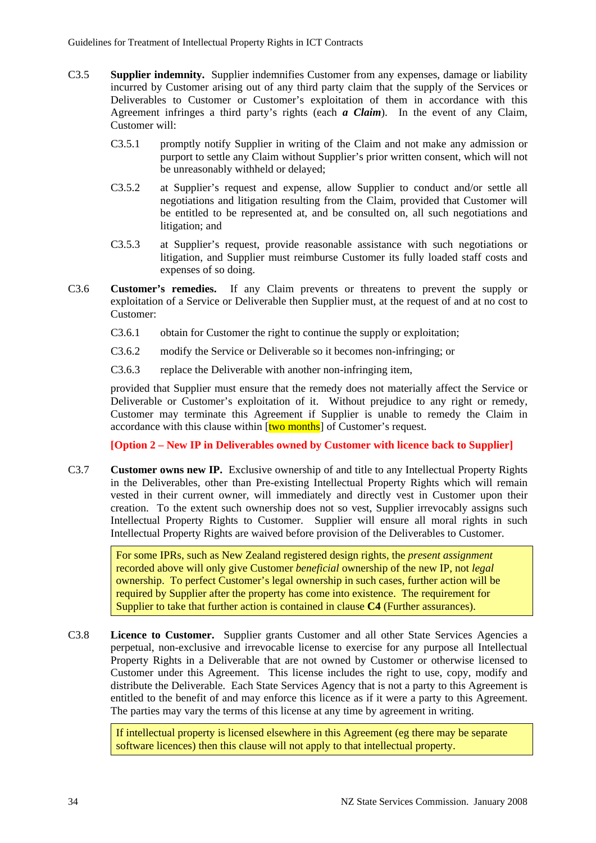- C3.5 **Supplier indemnity.** Supplier indemnifies Customer from any expenses, damage or liability incurred by Customer arising out of any third party claim that the supply of the Services or Deliverables to Customer or Customer's exploitation of them in accordance with this Agreement infringes a third party's rights (each *a Claim*). In the event of any Claim, Customer will:
	- C3.5.1 promptly notify Supplier in writing of the Claim and not make any admission or purport to settle any Claim without Supplier's prior written consent, which will not be unreasonably withheld or delayed;
	- C3.5.2 at Supplier's request and expense, allow Supplier to conduct and/or settle all negotiations and litigation resulting from the Claim, provided that Customer will be entitled to be represented at, and be consulted on, all such negotiations and litigation; and
	- C3.5.3 at Supplier's request, provide reasonable assistance with such negotiations or litigation, and Supplier must reimburse Customer its fully loaded staff costs and expenses of so doing.
- C3.6 **Customer's remedies.** If any Claim prevents or threatens to prevent the supply or exploitation of a Service or Deliverable then Supplier must, at the request of and at no cost to Customer:
	- C3.6.1 obtain for Customer the right to continue the supply or exploitation;
	- C3.6.2 modify the Service or Deliverable so it becomes non-infringing; or
	- C3.6.3 replace the Deliverable with another non-infringing item,

provided that Supplier must ensure that the remedy does not materially affect the Service or Deliverable or Customer's exploitation of it. Without prejudice to any right or remedy, Customer may terminate this Agreement if Supplier is unable to remedy the Claim in accordance with this clause within **[two months**] of Customer's request.

**[Option 2 – New IP in Deliverables owned by Customer with licence back to Supplier]** 

C3.7 **Customer owns new IP.** Exclusive ownership of and title to any Intellectual Property Rights in the Deliverables, other than Pre-existing Intellectual Property Rights which will remain vested in their current owner, will immediately and directly vest in Customer upon their creation. To the extent such ownership does not so vest, Supplier irrevocably assigns such Intellectual Property Rights to Customer. Supplier will ensure all moral rights in such Intellectual Property Rights are waived before provision of the Deliverables to Customer.

> For some IPRs, such as New Zealand registered design rights, the *present assignment* recorded above will only give Customer *beneficial* ownership of the new IP, not *legal* ownership. To perfect Customer's legal ownership in such cases, further action will be required by Supplier after the property has come into existence. The requirement for Supplier to take that further action is contained in clause **C4** (Further assurances).

C3.8 **Licence to Customer.** Supplier grants Customer and all other State Services Agencies a perpetual, non-exclusive and irrevocable license to exercise for any purpose all Intellectual Property Rights in a Deliverable that are not owned by Customer or otherwise licensed to Customer under this Agreement. This license includes the right to use, copy, modify and distribute the Deliverable. Each State Services Agency that is not a party to this Agreement is entitled to the benefit of and may enforce this licence as if it were a party to this Agreement. The parties may vary the terms of this license at any time by agreement in writing.

> If intellectual property is licensed elsewhere in this Agreement (eg there may be separate software licences) then this clause will not apply to that intellectual property.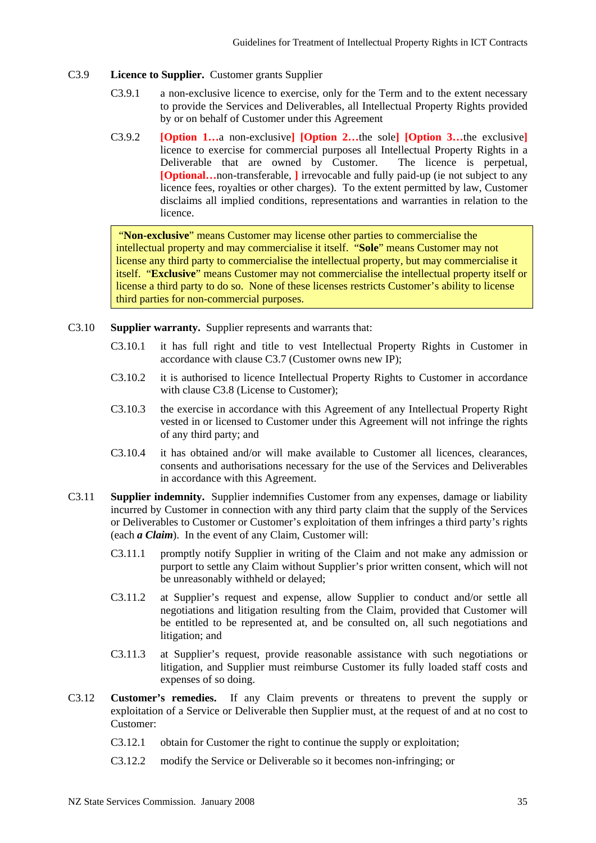### C3.9 **Licence to Supplier.** Customer grants Supplier

- C3.9.1 a non-exclusive licence to exercise, only for the Term and to the extent necessary to provide the Services and Deliverables, all Intellectual Property Rights provided by or on behalf of Customer under this Agreement
- C3.9.2 **[Option 1…**a non-exclusive**] [Option 2…**the sole**] [Option 3…**the exclusive**]** licence to exercise for commercial purposes all Intellectual Property Rights in a Deliverable that are owned by Customer. The licence is perpetual, **[Optional…**non-transferable, **]** irrevocable and fully paid-up (ie not subject to any licence fees, royalties or other charges). To the extent permitted by law, Customer disclaims all implied conditions, representations and warranties in relation to the licence.

 "**Non-exclusive**" means Customer may license other parties to commercialise the intellectual property and may commercialise it itself. "**Sole**" means Customer may not license any third party to commercialise the intellectual property, but may commercialise it itself. "**Exclusive**" means Customer may not commercialise the intellectual property itself or license a third party to do so. None of these licenses restricts Customer's ability to license third parties for non-commercial purposes.

- C3.10 **Supplier warranty.** Supplier represents and warrants that:
	- C3.10.1 it has full right and title to vest Intellectual Property Rights in Customer in accordance with clause C3.7 (Customer owns new IP);
	- C3.10.2 it is authorised to licence Intellectual Property Rights to Customer in accordance with clause C3.8 (License to Customer);
	- C3.10.3 the exercise in accordance with this Agreement of any Intellectual Property Right vested in or licensed to Customer under this Agreement will not infringe the rights of any third party; and
	- C3.10.4 it has obtained and/or will make available to Customer all licences, clearances, consents and authorisations necessary for the use of the Services and Deliverables in accordance with this Agreement.
- C3.11 **Supplier indemnity.** Supplier indemnifies Customer from any expenses, damage or liability incurred by Customer in connection with any third party claim that the supply of the Services or Deliverables to Customer or Customer's exploitation of them infringes a third party's rights (each *a Claim*). In the event of any Claim, Customer will:
	- C3.11.1 promptly notify Supplier in writing of the Claim and not make any admission or purport to settle any Claim without Supplier's prior written consent, which will not be unreasonably withheld or delayed;
	- C3.11.2 at Supplier's request and expense, allow Supplier to conduct and/or settle all negotiations and litigation resulting from the Claim, provided that Customer will be entitled to be represented at, and be consulted on, all such negotiations and litigation; and
	- C3.11.3 at Supplier's request, provide reasonable assistance with such negotiations or litigation, and Supplier must reimburse Customer its fully loaded staff costs and expenses of so doing.
- C3.12 **Customer's remedies.** If any Claim prevents or threatens to prevent the supply or exploitation of a Service or Deliverable then Supplier must, at the request of and at no cost to Customer:
	- C3.12.1 obtain for Customer the right to continue the supply or exploitation;
	- C3.12.2 modify the Service or Deliverable so it becomes non-infringing; or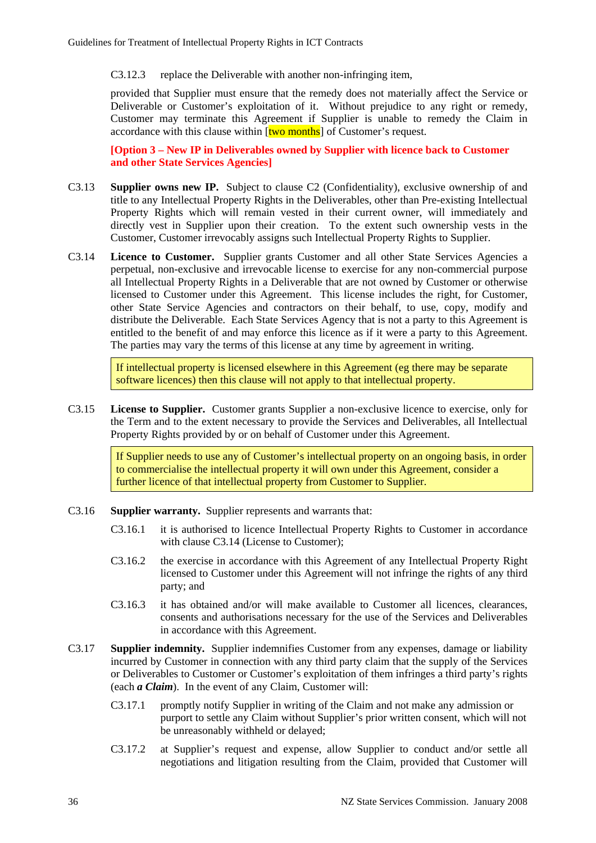C3.12.3 replace the Deliverable with another non-infringing item,

provided that Supplier must ensure that the remedy does not materially affect the Service or Deliverable or Customer's exploitation of it. Without prejudice to any right or remedy, Customer may terminate this Agreement if Supplier is unable to remedy the Claim in accordance with this clause within  $[two months]$  of Customer's request.

**[Option 3 – New IP in Deliverables owned by Supplier with licence back to Customer and other State Services Agencies]**

- C3.13 **Supplier owns new IP.** Subject to clause C2 (Confidentiality), exclusive ownership of and title to any Intellectual Property Rights in the Deliverables, other than Pre-existing Intellectual Property Rights which will remain vested in their current owner, will immediately and directly vest in Supplier upon their creation. To the extent such ownership vests in the Customer, Customer irrevocably assigns such Intellectual Property Rights to Supplier.
- C3.14 **Licence to Customer.** Supplier grants Customer and all other State Services Agencies a perpetual, non-exclusive and irrevocable license to exercise for any non-commercial purpose all Intellectual Property Rights in a Deliverable that are not owned by Customer or otherwise licensed to Customer under this Agreement. This license includes the right, for Customer, other State Service Agencies and contractors on their behalf, to use, copy, modify and distribute the Deliverable. Each State Services Agency that is not a party to this Agreement is entitled to the benefit of and may enforce this licence as if it were a party to this Agreement. The parties may vary the terms of this license at any time by agreement in writing.

If intellectual property is licensed elsewhere in this Agreement (eg there may be separate software licences) then this clause will not apply to that intellectual property.

C3.15 **License to Supplier.** Customer grants Supplier a non-exclusive licence to exercise, only for the Term and to the extent necessary to provide the Services and Deliverables, all Intellectual Property Rights provided by or on behalf of Customer under this Agreement.

> If Supplier needs to use any of Customer's intellectual property on an ongoing basis, in order to commercialise the intellectual property it will own under this Agreement, consider a further licence of that intellectual property from Customer to Supplier.

- C3.16 **Supplier warranty.** Supplier represents and warrants that:
	- C3.16.1 it is authorised to licence Intellectual Property Rights to Customer in accordance with clause C3.14 (License to Customer);
	- C3.16.2 the exercise in accordance with this Agreement of any Intellectual Property Right licensed to Customer under this Agreement will not infringe the rights of any third party; and
	- C3.16.3 it has obtained and/or will make available to Customer all licences, clearances, consents and authorisations necessary for the use of the Services and Deliverables in accordance with this Agreement.
- C3.17 **Supplier indemnity.** Supplier indemnifies Customer from any expenses, damage or liability incurred by Customer in connection with any third party claim that the supply of the Services or Deliverables to Customer or Customer's exploitation of them infringes a third party's rights (each *a Claim*). In the event of any Claim, Customer will:
	- C3.17.1 promptly notify Supplier in writing of the Claim and not make any admission or purport to settle any Claim without Supplier's prior written consent, which will not be unreasonably withheld or delayed;
	- C3.17.2 at Supplier's request and expense, allow Supplier to conduct and/or settle all negotiations and litigation resulting from the Claim, provided that Customer will